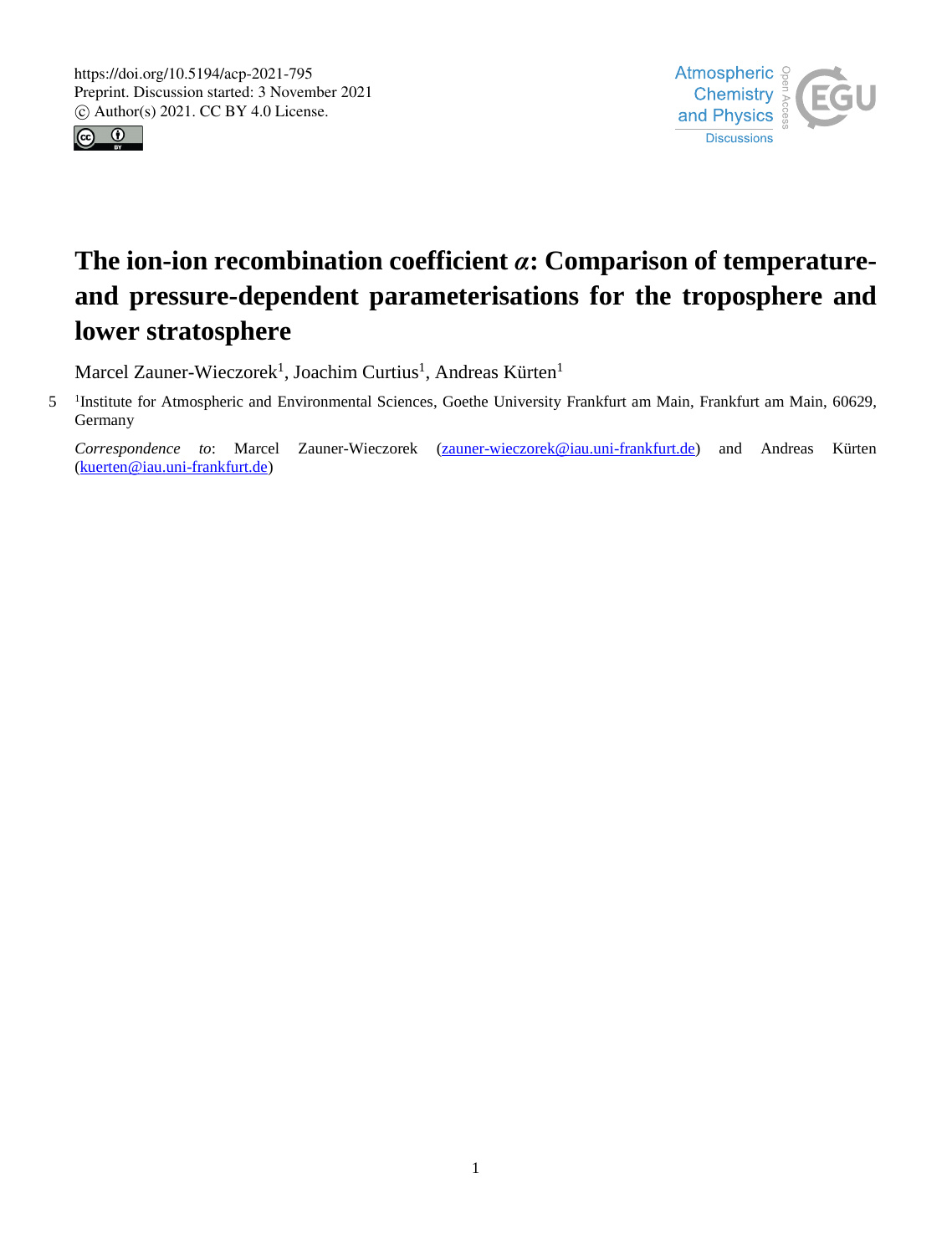



# **The ion-ion recombination coefficient** *α***: Comparison of temperatureand pressure-dependent parameterisations for the troposphere and lower stratosphere**

Marcel Zauner-Wieczorek<sup>1</sup>, Joachim Curtius<sup>1</sup>, Andreas Kürten<sup>1</sup>

5 <sup>1</sup>Institute for Atmospheric and Environmental Sciences, Goethe University Frankfurt am Main, Frankfurt am Main, 60629, Germany

*Correspondence to*: Marcel Zauner-Wieczorek (zauner-wieczorek@iau.uni-frankfurt.de) and Andreas Kürten (kuerten@iau.uni-frankfurt.de)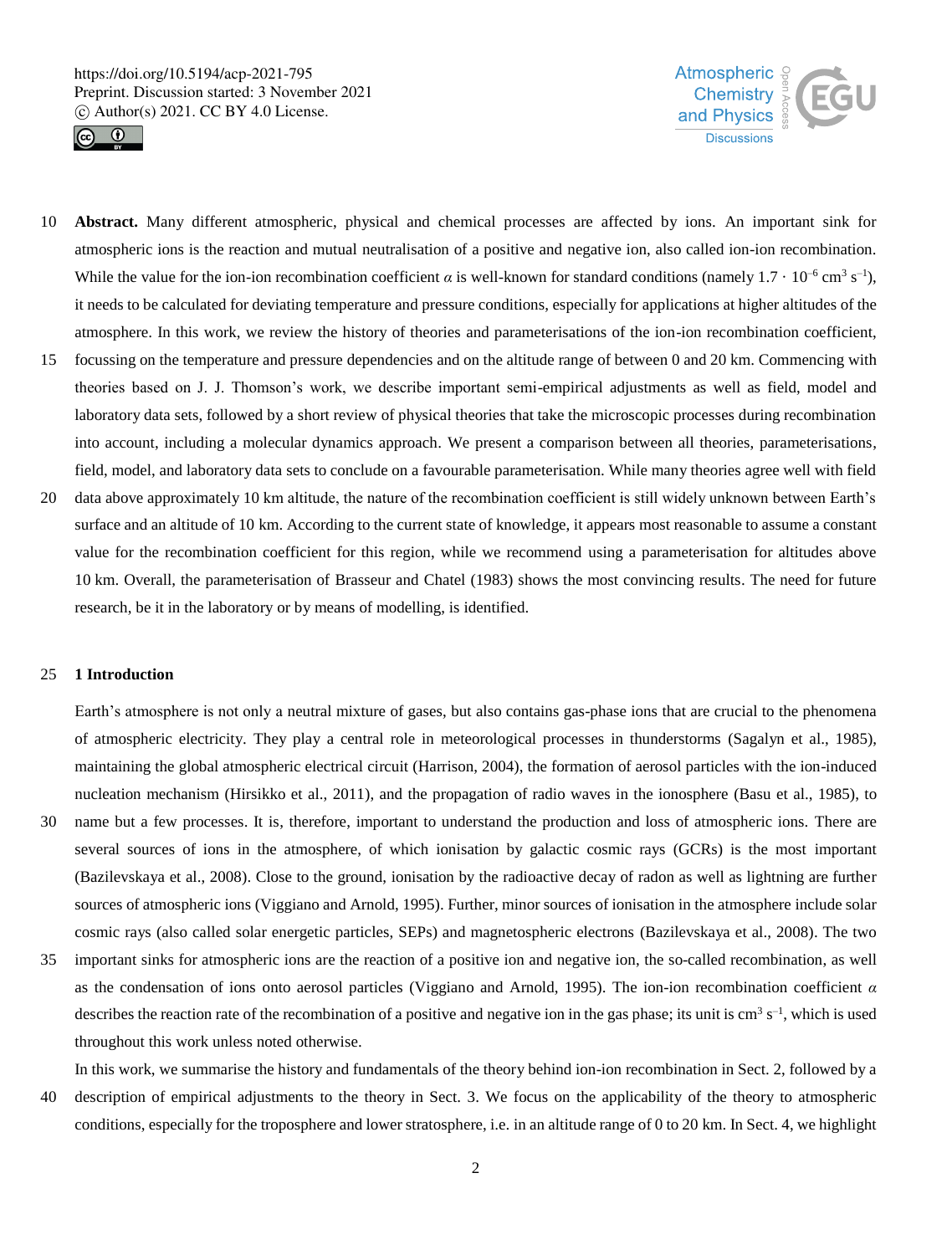



- 10 **Abstract.** Many different atmospheric, physical and chemical processes are affected by ions. An important sink for atmospheric ions is the reaction and mutual neutralisation of a positive and negative ion, also called ion-ion recombination. While the value for the ion-ion recombination coefficient *a* is well-known for standard conditions (namely  $1.7 \cdot 10^{-6}$  cm<sup>3</sup> s<sup>-1</sup>), it needs to be calculated for deviating temperature and pressure conditions, especially for applications at higher altitudes of the atmosphere. In this work, we review the history of theories and parameterisations of the ion-ion recombination coefficient,
- 15 focussing on the temperature and pressure dependencies and on the altitude range of between 0 and 20 km. Commencing with theories based on J. J. Thomson's work, we describe important semi-empirical adjustments as well as field, model and laboratory data sets, followed by a short review of physical theories that take the microscopic processes during recombination into account, including a molecular dynamics approach. We present a comparison between all theories, parameterisations, field, model, and laboratory data sets to conclude on a favourable parameterisation. While many theories agree well with field
- 20 data above approximately 10 km altitude, the nature of the recombination coefficient is still widely unknown between Earth's surface and an altitude of 10 km. According to the current state of knowledge, it appears most reasonable to assume a constant value for the recombination coefficient for this region, while we recommend using a parameterisation for altitudes above 10 km. Overall, the parameterisation of Brasseur and Chatel (1983) shows the most convincing results. The need for future research, be it in the laboratory or by means of modelling, is identified.

#### 25 **1 Introduction**

Earth's atmosphere is not only a neutral mixture of gases, but also contains gas-phase ions that are crucial to the phenomena of atmospheric electricity. They play a central role in meteorological processes in thunderstorms (Sagalyn et al., 1985), maintaining the global atmospheric electrical circuit (Harrison, 2004), the formation of aerosol particles with the ion-induced nucleation mechanism (Hirsikko et al., 2011), and the propagation of radio waves in the ionosphere (Basu et al., 1985), to

- 30 name but a few processes. It is, therefore, important to understand the production and loss of atmospheric ions. There are several sources of ions in the atmosphere, of which ionisation by galactic cosmic rays (GCRs) is the most important (Bazilevskaya et al., 2008). Close to the ground, ionisation by the radioactive decay of radon as well as lightning are further sources of atmospheric ions (Viggiano and Arnold, 1995). Further, minor sources of ionisation in the atmosphere include solar cosmic rays (also called solar energetic particles, SEPs) and magnetospheric electrons (Bazilevskaya et al., 2008). The two
- 35 important sinks for atmospheric ions are the reaction of a positive ion and negative ion, the so-called recombination, as well as the condensation of ions onto aerosol particles (Viggiano and Arnold, 1995). The ion-ion recombination coefficient *α* describes the reaction rate of the recombination of a positive and negative ion in the gas phase; its unit is  $cm<sup>3</sup> s<sup>-1</sup>$ , which is used throughout this work unless noted otherwise.

In this work, we summarise the history and fundamentals of the theory behind ion-ion recombination in Sect. 2, followed by a

40 description of empirical adjustments to the theory in Sect. 3. We focus on the applicability of the theory to atmospheric conditions, especially for the troposphere and lower stratosphere, i.e. in an altitude range of 0 to 20 km. In Sect. 4, we highlight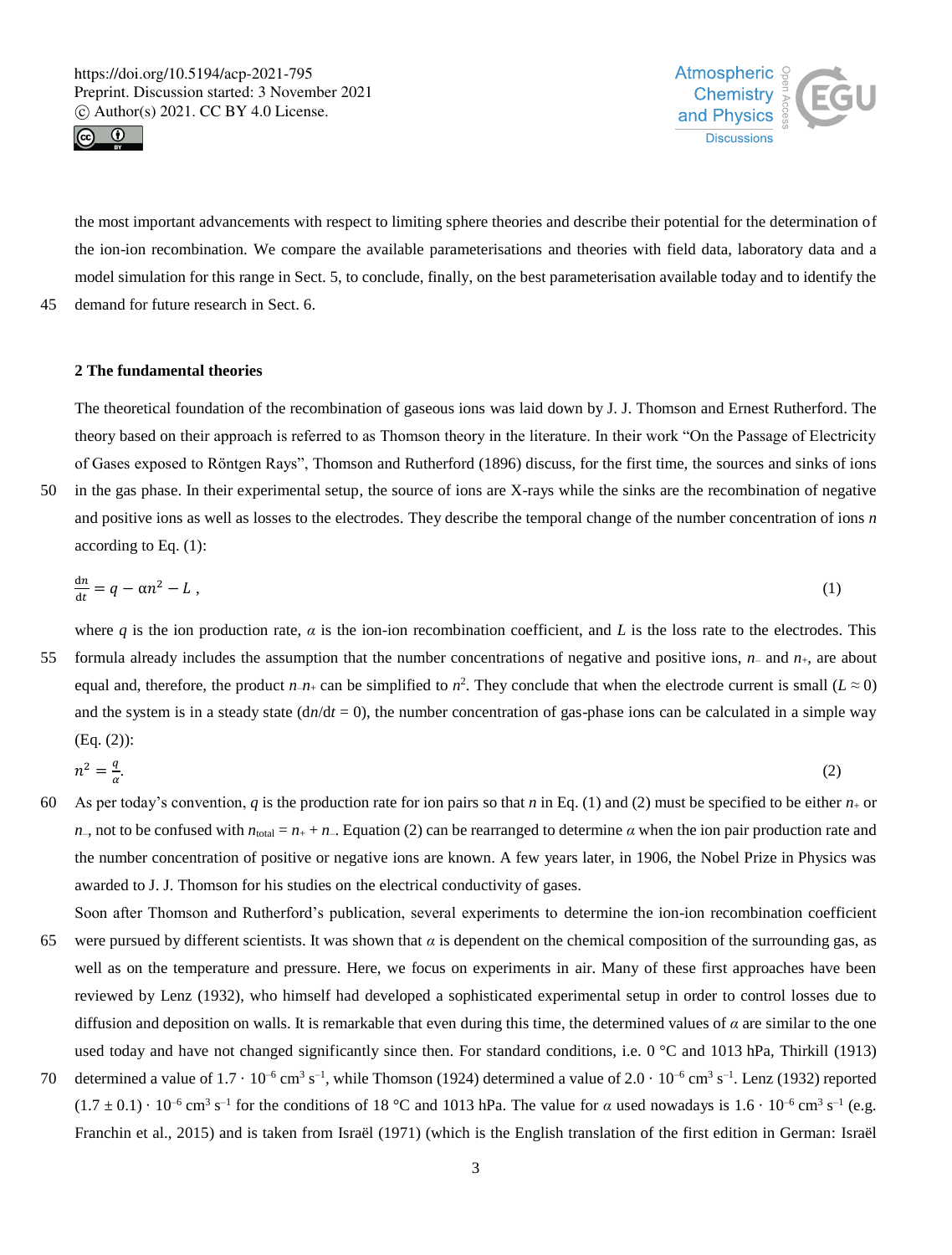



the most important advancements with respect to limiting sphere theories and describe their potential for the determination of the ion-ion recombination. We compare the available parameterisations and theories with field data, laboratory data and a model simulation for this range in Sect. 5, to conclude, finally, on the best parameterisation available today and to identify the 45 demand for future research in Sect. 6.

## **2 The fundamental theories**

The theoretical foundation of the recombination of gaseous ions was laid down by J. J. Thomson and Ernest Rutherford. The theory based on their approach is referred to as Thomson theory in the literature. In their work "On the Passage of Electricity of Gases exposed to Röntgen Rays", Thomson and Rutherford (1896) discuss, for the first time, the sources and sinks of ions

50 in the gas phase. In their experimental setup, the source of ions are X-rays while the sinks are the recombination of negative and positive ions as well as losses to the electrodes. They describe the temporal change of the number concentration of ions *n* according to Eq. (1):

$$
\frac{\mathrm{d}n}{\mathrm{d}t} = q - \alpha n^2 - L \,,\tag{1}
$$

where *q* is the ion production rate,  $\alpha$  is the ion-ion recombination coefficient, and *L* is the loss rate to the electrodes. This 55 formula already includes the assumption that the number concentrations of negative and positive ions,  $n_-\,$  and  $n_+\,$ , are about equal and, therefore, the product  $n_{-}n_{+}$  can be simplified to  $n^2$ . They conclude that when the electrode current is small ( $L \approx 0$ ) and the system is in a steady state  $(dn/dt = 0)$ , the number concentration of gas-phase ions can be calculated in a simple way (Eq. (2)):

$$
n^2 = \frac{q}{\alpha}.\tag{2}
$$

- 60 As per today's convention, *q* is the production rate for ion pairs so that *n* in Eq. (1) and (2) must be specified to be either  $n<sub>+</sub>$  or *n*–, not to be confused with  $n_{\text{total}} = n_{+} + n_{-}$ . Equation (2) can be rearranged to determine *α* when the ion pair production rate and the number concentration of positive or negative ions are known. A few years later, in 1906, the Nobel Prize in Physics was awarded to J. J. Thomson for his studies on the electrical conductivity of gases.
- Soon after Thomson and Rutherford's publication, several experiments to determine the ion-ion recombination coefficient 65 were pursued by different scientists. It was shown that  $\alpha$  is dependent on the chemical composition of the surrounding gas, as well as on the temperature and pressure. Here, we focus on experiments in air. Many of these first approaches have been reviewed by Lenz (1932), who himself had developed a sophisticated experimental setup in order to control losses due to diffusion and deposition on walls. It is remarkable that even during this time, the determined values of *α* are similar to the one used today and have not changed significantly since then. For standard conditions, i.e.  $0^{\circ}$ C and 1013 hPa, Thirkill (1913)
- 70 determined a value of  $1.7 \cdot 10^{-6}$  cm<sup>3</sup> s<sup>-1</sup>, while Thomson (1924) determined a value of  $2.0 \cdot 10^{-6}$  cm<sup>3</sup> s<sup>-1</sup>. Lenz (1932) reported  $(1.7 \pm 0.1) \cdot 10^{-6}$  cm<sup>3</sup> s<sup>-1</sup> for the conditions of 18 °C and 1013 hPa. The value for *α* used nowadays is  $1.6 \cdot 10^{-6}$  cm<sup>3</sup> s<sup>-1</sup> (e.g. Franchin et al., 2015) and is taken from Israël (1971) (which is the English translation of the first edition in German: Israël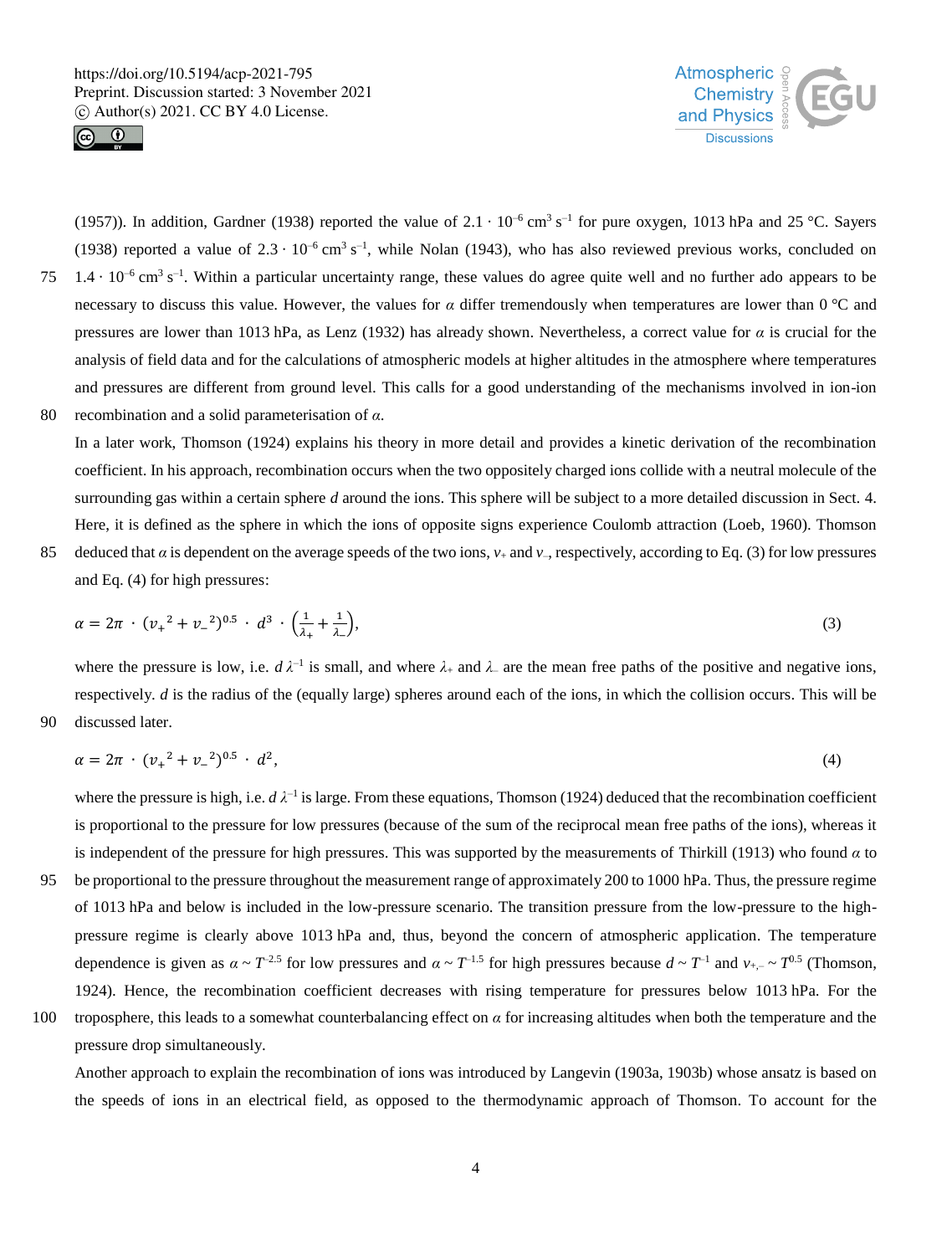



(1957)). In addition, Gardner (1938) reported the value of  $2.1 \cdot 10^{-6}$  cm<sup>3</sup> s<sup>-1</sup> for pure oxygen, 1013 hPa and 25 °C. Sayers (1938) reported a value of  $2.3 \cdot 10^{-6}$  cm<sup>3</sup> s<sup>-1</sup>, while Nolan (1943), who has also reviewed previous works, concluded on  $1.4 \cdot 10^{-6}$  cm<sup>3</sup> s<sup>-1</sup>. Within a particular uncertainty range, these values do agree quite well and no further ado appears to be necessary to discuss this value. However, the values for *α* differ tremendously when temperatures are lower than 0 °C and pressures are lower than 1013 hPa, as Lenz (1932) has already shown. Nevertheless, a correct value for *α* is crucial for the analysis of field data and for the calculations of atmospheric models at higher altitudes in the atmosphere where temperatures and pressures are different from ground level. This calls for a good understanding of the mechanisms involved in ion-ion 80 recombination and a solid parameterisation of *α*.

In a later work, Thomson (1924) explains his theory in more detail and provides a kinetic derivation of the recombination coefficient. In his approach, recombination occurs when the two oppositely charged ions collide with a neutral molecule of the surrounding gas within a certain sphere *d* around the ions. This sphere will be subject to a more detailed discussion in Sect. 4. Here, it is defined as the sphere in which the ions of opposite signs experience Coulomb attraction (Loeb, 1960). Thomson

85 deduced that  $\alpha$  is dependent on the average speeds of the two ions,  $v_+$  and  $v_-$ , respectively, according to Eq. (3) for low pressures and Eq. (4) for high pressures:

$$
\alpha = 2\pi \cdot (v_{+}^{2} + v_{-}^{2})^{0.5} \cdot d^{3} \cdot \left(\frac{1}{\lambda_{+}} + \frac{1}{\lambda_{-}}\right),\tag{3}
$$

where the pressure is low, i.e.  $d\lambda^{-1}$  is small, and where  $\lambda_+$  and  $\lambda_-$  are the mean free paths of the positive and negative ions, respectively. *d* is the radius of the (equally large) spheres around each of the ions, in which the collision occurs. This will be 90 discussed later.

$$
\alpha = 2\pi \cdot (v_+^2 + v_-^2)^{0.5} \cdot d^2,\tag{4}
$$

where the pressure is high, i.e.  $d \lambda^{-1}$  is large. From these equations, Thomson (1924) deduced that the recombination coefficient is proportional to the pressure for low pressures (because of the sum of the reciprocal mean free paths of the ions), whereas it is independent of the pressure for high pressures. This was supported by the measurements of Thirkill (1913) who found *α* to

- 95 be proportional to the pressure throughout the measurement range of approximately 200 to 1000 hPa. Thus, the pressure regime of 1013 hPa and below is included in the low-pressure scenario. The transition pressure from the low-pressure to the highpressure regime is clearly above 1013 hPa and, thus, beyond the concern of atmospheric application. The temperature dependence is given as  $\alpha \sim T^{-2.5}$  for low pressures and  $\alpha \sim T^{-1.5}$  for high pressures because  $d \sim T^{-1}$  and  $v_{+,-} \sim T^{0.5}$  (Thomson, 1924). Hence, the recombination coefficient decreases with rising temperature for pressures below 1013 hPa. For the 100 troposphere, this leads to a somewhat counterbalancing effect on  $\alpha$  for increasing altitudes when both the temperature and the
- 

pressure drop simultaneously.

Another approach to explain the recombination of ions was introduced by Langevin (1903a, 1903b) whose ansatz is based on the speeds of ions in an electrical field, as opposed to the thermodynamic approach of Thomson. To account for the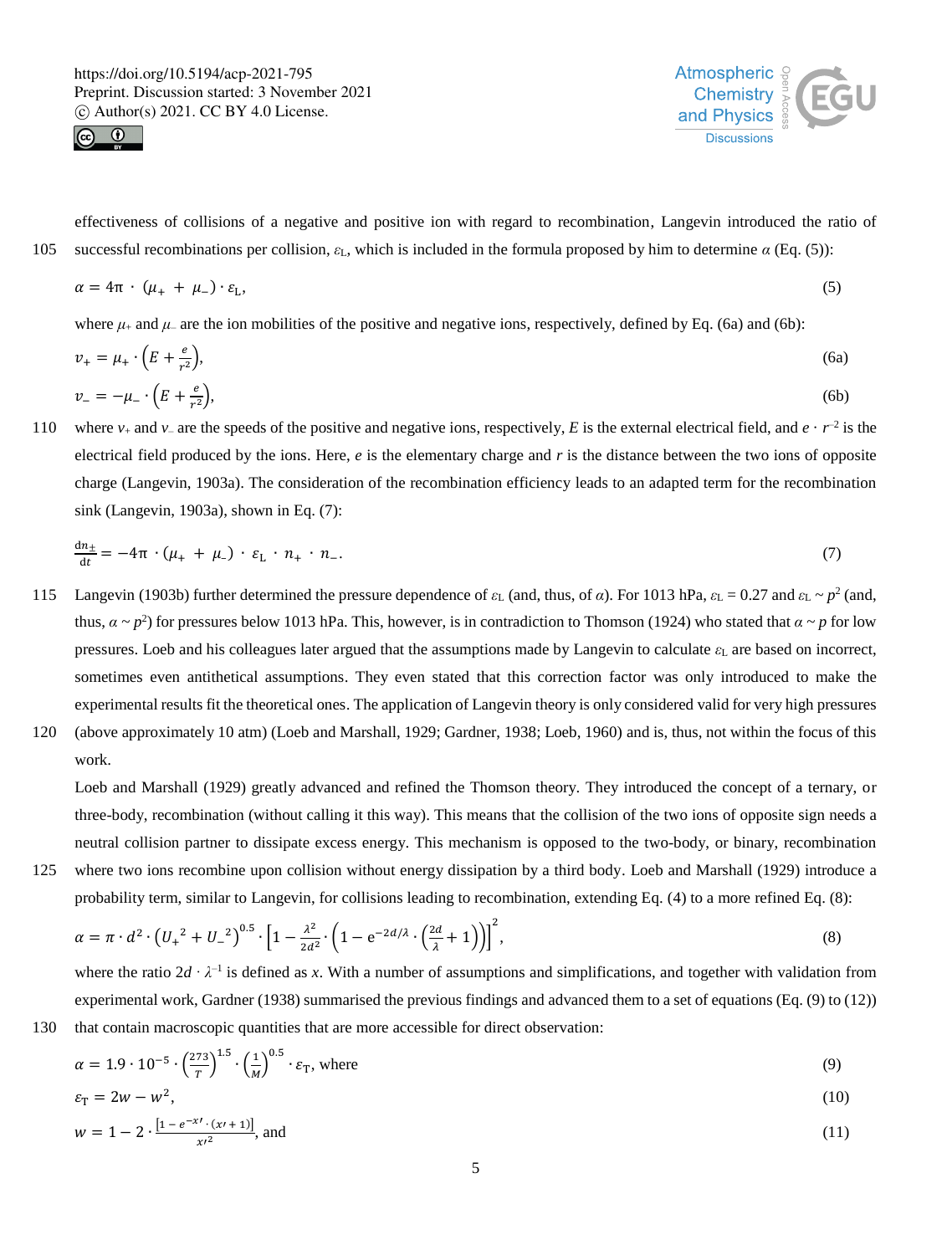$r^2$ 





effectiveness of collisions of a negative and positive ion with regard to recombination, Langevin introduced the ratio of 105 successful recombinations per collision,  $ε$ <sub>L</sub>, which is included in the formula proposed by him to determine *α* (Eq. (5)):

$$
\alpha = 4\pi \cdot (\mu_+ + \mu_-) \cdot \varepsilon_L,\tag{5}
$$

where  $\mu_+$  and  $\mu_-$  are the ion mobilities of the positive and negative ions, respectively, defined by Eq. (6a) and (6b):

$$
v_{+} = \mu_{+} \cdot \left(E + \frac{e}{r^{2}}\right),
$$
\n
$$
v_{-} = -\mu_{-} \cdot \left(E + \frac{e}{r^{2}}\right),
$$
\n
$$
(6a)
$$
\n
$$
v_{-} = -\mu_{-} \cdot \left(E + \frac{e}{r^{2}}\right),
$$
\n
$$
(6b)
$$

110 where  $v_+$  and  $v_-$  are the speeds of the positive and negative ions, respectively, E is the external electrical field, and  $e \cdot r^{-2}$  is the electrical field produced by the ions. Here, *e* is the elementary charge and *r* is the distance between the two ions of opposite charge (Langevin, 1903a). The consideration of the recombination efficiency leads to an adapted term for the recombination sink (Langevin, 1903a), shown in Eq. (7):

$$
\frac{dn_{\pm}}{dt} = -4\pi \cdot (\mu_{+} + \mu_{-}) \cdot \varepsilon_{\mathrm{L}} \cdot n_{+} \cdot n_{-}.\tag{7}
$$

- Langevin (1903b) further determined the pressure dependence of  $ε$ <sub>L</sub> (and, thus, of *α*). For 1013 hPa,  $ε$ <sub>L</sub> = 0.27 and  $ε$ <sub>L</sub> ~  $p$ <sup>2</sup> (and, thus,  $\alpha \sim p^2$ ) for pressures below 1013 hPa. This, however, is in contradiction to Thomson (1924) who stated that  $\alpha \sim p$  for low pressures. Loeb and his colleagues later argued that the assumptions made by Langevin to calculate  $\varepsilon_L$  are based on incorrect, sometimes even antithetical assumptions. They even stated that this correction factor was only introduced to make the experimental results fit the theoretical ones. The application of Langevin theory is only considered valid for very high pressures
- 120 (above approximately 10 atm) (Loeb and Marshall, 1929; Gardner, 1938; Loeb, 1960) and is, thus, not within the focus of this work.

Loeb and Marshall (1929) greatly advanced and refined the Thomson theory. They introduced the concept of a ternary, or three-body, recombination (without calling it this way). This means that the collision of the two ions of opposite sign needs a neutral collision partner to dissipate excess energy. This mechanism is opposed to the two-body, or binary, recombination 125 where two ions recombine upon collision without energy dissipation by a third body. Loeb and Marshall (1929) introduce a

probability term, similar to Langevin, for collisions leading to recombination, extending Eq. (4) to a more refined Eq. (8):

$$
\alpha = \pi \cdot d^2 \cdot \left( U_+^2 + U_-^2 \right)^{0.5} \cdot \left[ 1 - \frac{\lambda^2}{2d^2} \cdot \left( 1 - e^{-2d/\lambda} \cdot \left( \frac{2d}{\lambda} + 1 \right) \right) \right]^2, \tag{8}
$$

where the ratio  $2d \cdot \lambda^{-1}$  is defined as x. With a number of assumptions and simplifications, and together with validation from experimental work, Gardner (1938) summarised the previous findings and advanced them to a set of equations (Eq. (9) to (12)) 130 that contain macroscopic quantities that are more accessible for direct observation:

$$
\alpha = 1.9 \cdot 10^{-5} \cdot \left(\frac{273}{T}\right)^{1.5} \cdot \left(\frac{1}{M}\right)^{0.5} \cdot \varepsilon_{\text{T}}, \text{ where}
$$
\n
$$
\tag{9}
$$

$$
\varepsilon_{\rm T} = 2w - w^2,\tag{10}
$$

$$
w = 1 - 2 \cdot \frac{[1 - e^{-x'} \cdot (x + 1)]}{x'^2}, \text{ and} \tag{11}
$$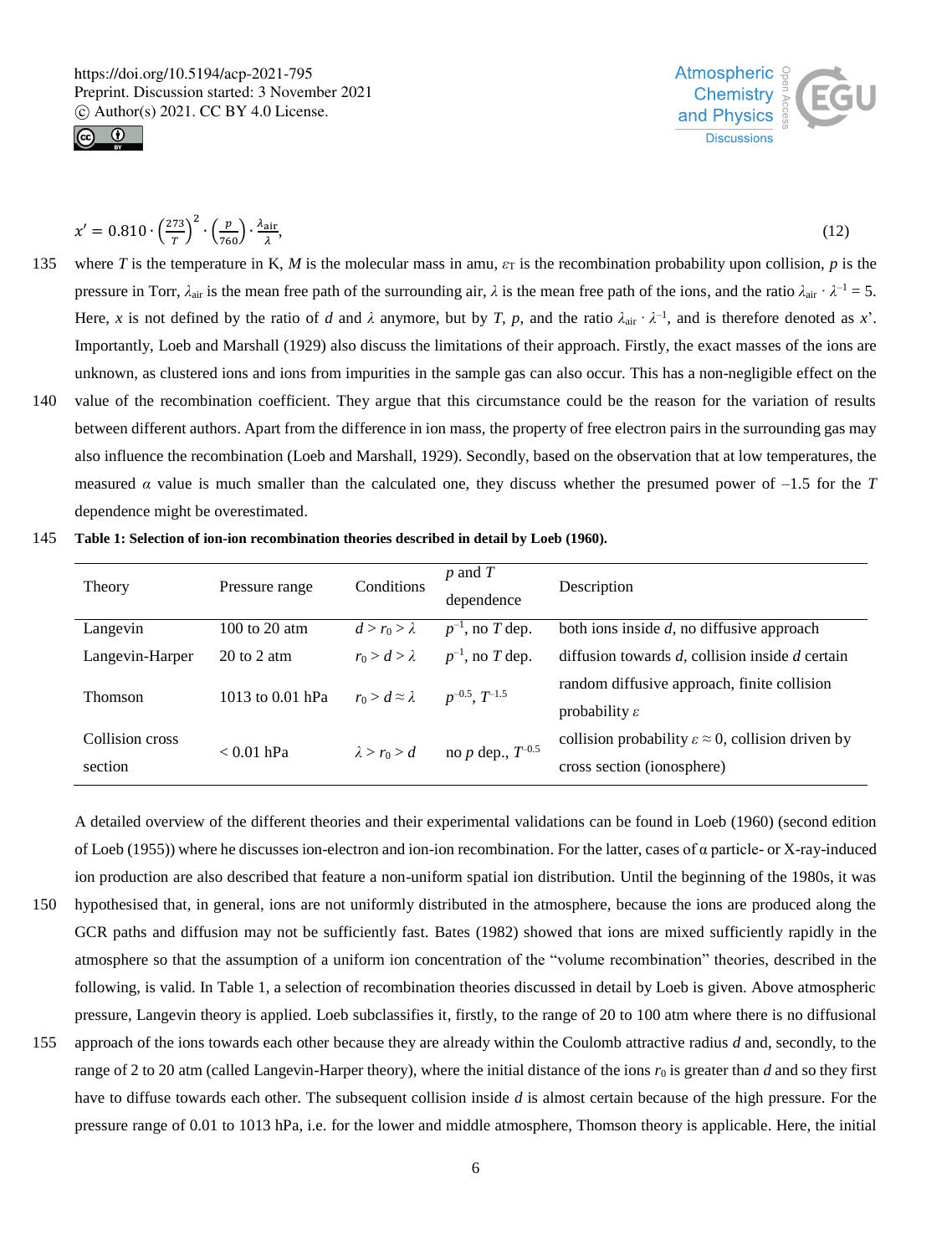



$$
x' = 0.810 \cdot \left(\frac{273}{T}\right)^2 \cdot \left(\frac{p}{760}\right) \cdot \frac{\lambda_{\text{air}}}{\lambda},\tag{12}
$$

- 135 where *T* is the temperature in K, *M* is the molecular mass in amu,  $\varepsilon_T$  is the recombination probability upon collision, *p* is the pressure in Torr,  $\lambda_{air}$  is the mean free path of the surrounding air,  $\lambda$  is the mean free path of the ions, and the ratio  $\lambda_{air} \cdot \lambda^{-1} = 5$ . Here, *x* is not defined by the ratio of *d* and  $\lambda$  anymore, but by *T*, *p*, and the ratio  $\lambda_{\text{air}} \cdot \lambda^{-1}$ , and is therefore denoted as *x*'. Importantly, Loeb and Marshall (1929) also discuss the limitations of their approach. Firstly, the exact masses of the ions are unknown, as clustered ions and ions from impurities in the sample gas can also occur. This has a non-negligible effect on the
- 140 value of the recombination coefficient. They argue that this circumstance could be the reason for the variation of results between different authors. Apart from the difference in ion mass, the property of free electron pairs in the surrounding gas may also influence the recombination (Loeb and Marshall, 1929). Secondly, based on the observation that at low temperatures, the measured  $\alpha$  value is much smaller than the calculated one, they discuss whether the presumed power of  $-1.5$  for the *T* dependence might be overestimated.
- 145 **Table 1: Selection of ion-ion recombination theories described in detail by Loeb (1960).**

| Theory                     | Pressure range                 | Conditions                | $p$ and $T$<br>dependence | Description                                                                                       |
|----------------------------|--------------------------------|---------------------------|---------------------------|---------------------------------------------------------------------------------------------------|
| Langevin                   | $100$ to $20$ atm              | $d > r_0 > \lambda$       | $p^{-1}$ , no T dep.      | both ions inside $d$ , no diffusive approach                                                      |
| Langevin-Harper            | $20 \text{ to } 2 \text{ atm}$ | $r_0 > d > \lambda$       | $p^{-1}$ , no T dep.      | diffusion towards $d$ , collision inside $d$ certain                                              |
| Thomson                    | 1013 to $0.01$ hPa             | $r_0 > d \approx \lambda$ | $p^{-0.5}$ , $T^{-1.5}$   | random diffusive approach, finite collision<br>probability $\varepsilon$                          |
| Collision cross<br>section | $< 0.01$ hPa                   | $\lambda > r_0 > d$       | no $p$ dep., $T^{-0.5}$   | collision probability $\varepsilon \approx 0$ , collision driven by<br>cross section (ionosphere) |

A detailed overview of the different theories and their experimental validations can be found in Loeb (1960) (second edition of Loeb (1955)) where he discusses ion-electron and ion-ion recombination. For the latter, cases of α particle- or X-ray-induced ion production are also described that feature a non-uniform spatial ion distribution. Until the beginning of the 1980s, it was

- 150 hypothesised that, in general, ions are not uniformly distributed in the atmosphere, because the ions are produced along the GCR paths and diffusion may not be sufficiently fast. Bates (1982) showed that ions are mixed sufficiently rapidly in the atmosphere so that the assumption of a uniform ion concentration of the "volume recombination" theories, described in the following, is valid. In Table 1, a selection of recombination theories discussed in detail by Loeb is given. Above atmospheric pressure, Langevin theory is applied. Loeb subclassifies it, firstly, to the range of 20 to 100 atm where there is no diffusional
- 155 approach of the ions towards each other because they are already within the Coulomb attractive radius *d* and, secondly, to the range of 2 to 20 atm (called Langevin-Harper theory), where the initial distance of the ions *r*<sup>0</sup> is greater than *d* and so they first have to diffuse towards each other. The subsequent collision inside *d* is almost certain because of the high pressure. For the pressure range of 0.01 to 1013 hPa, i.e. for the lower and middle atmosphere, Thomson theory is applicable. Here, the initial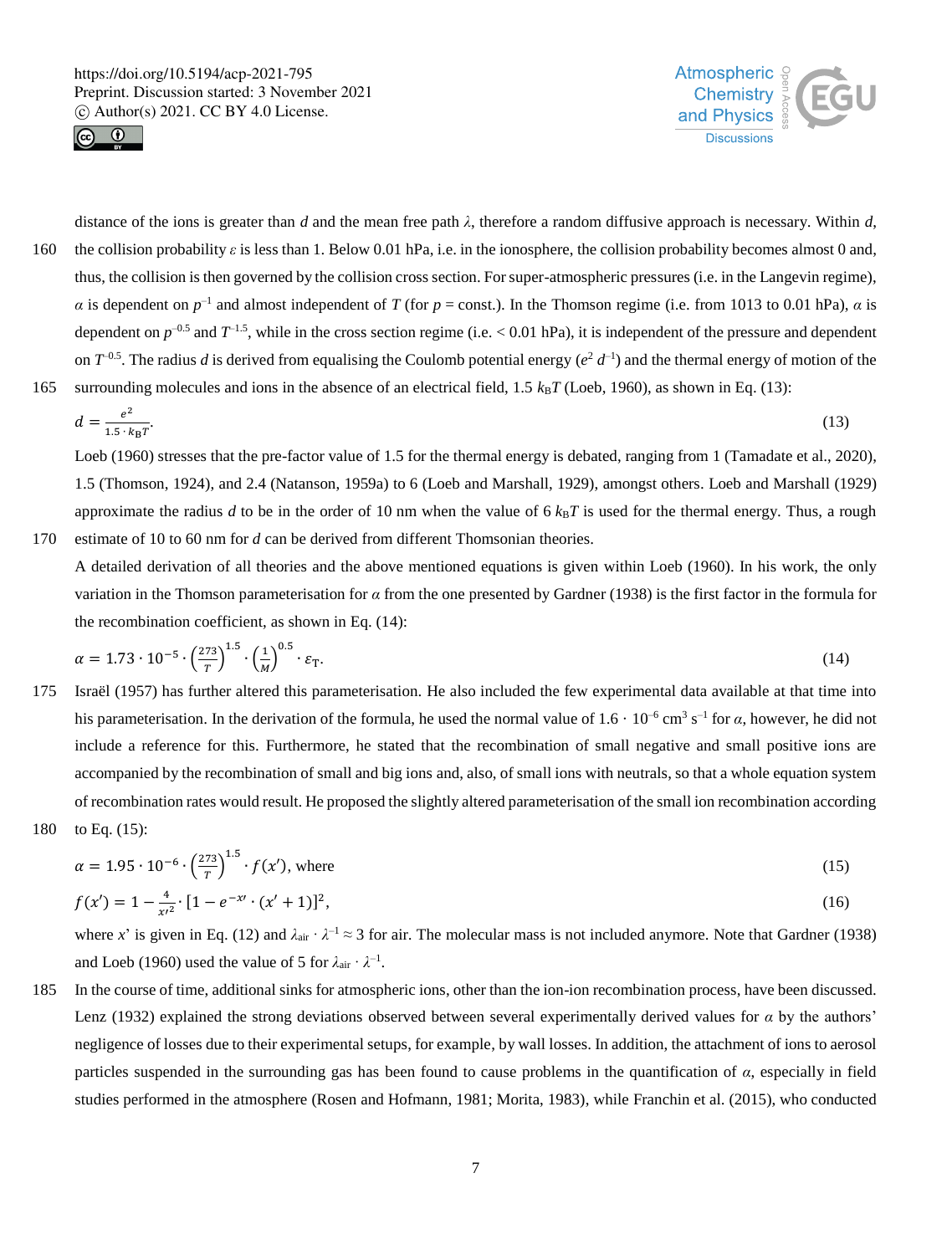



distance of the ions is greater than *d* and the mean free path *λ*, therefore a random diffusive approach is necessary. Within *d*, 160 the collision probability  $\varepsilon$  is less than 1. Below 0.01 hPa, i.e. in the ionosphere, the collision probability becomes almost 0 and, thus, the collision is then governed by the collision cross section. For super-atmospheric pressures (i.e. in the Langevin regime), *α* is dependent on  $p^{-1}$  and almost independent of *T* (for *p* = const.). In the Thomson regime (i.e. from 1013 to 0.01 hPa), *α* is dependent on  $p^{-0.5}$  and  $T^{-1.5}$ , while in the cross section regime (i.e. < 0.01 hPa), it is independent of the pressure and dependent on  $T^{-0.5}$ . The radius *d* is derived from equalising the Coulomb potential energy  $(e^2 d^{-1})$  and the thermal energy of motion of the 165 surrounding molecules and ions in the absence of an electrical field,  $1.5 k<sub>B</sub>T$  (Loeb, 1960), as shown in Eq. (13):

$$
d = \frac{e^2}{1.5 \cdot k_B T}.\tag{13}
$$

Loeb (1960) stresses that the pre-factor value of 1.5 for the thermal energy is debated, ranging from 1 (Tamadate et al., 2020), 1.5 (Thomson, 1924), and 2.4 (Natanson, 1959a) to 6 (Loeb and Marshall, 1929), amongst others. Loeb and Marshall (1929) approximate the radius  $d$  to be in the order of 10 nm when the value of  $6 \, k_B T$  is used for the thermal energy. Thus, a rough 170 estimate of 10 to 60 nm for *d* can be derived from different Thomsonian theories.

A detailed derivation of all theories and the above mentioned equations is given within Loeb (1960). In his work, the only variation in the Thomson parameterisation for *α* from the one presented by Gardner (1938) is the first factor in the formula for the recombination coefficient, as shown in Eq. (14):

$$
\alpha = 1.73 \cdot 10^{-5} \cdot \left(\frac{273}{T}\right)^{1.5} \cdot \left(\frac{1}{M}\right)^{0.5} \cdot \varepsilon_{\text{T}}.\tag{14}
$$

- 175 Israël (1957) has further altered this parameterisation. He also included the few experimental data available at that time into his parameterisation. In the derivation of the formula, he used the normal value of  $1.6 \cdot 10^{-6}$  cm<sup>3</sup> s<sup>-1</sup> for *α*, however, he did not include a reference for this. Furthermore, he stated that the recombination of small negative and small positive ions are accompanied by the recombination of small and big ions and, also, of small ions with neutrals, so that a whole equation system of recombination rates would result. He proposed the slightly altered parameterisation of the small ion recombination according
- 180 to Eq. (15):

 $\overline{1}$ .

$$
\alpha = 1.95 \cdot 10^{-6} \cdot \left(\frac{273}{T}\right)^{1.5} \cdot f(x'), \text{ where } (15)
$$

$$
f(x') = 1 - \frac{4}{x'^2} \cdot [1 - e^{-x'} \cdot (x' + 1)]^2,\tag{16}
$$

where *x*' is given in Eq. (12) and  $\lambda_{air} \cdot \lambda^{-1} \approx 3$  for air. The molecular mass is not included anymore. Note that Gardner (1938) and Loeb (1960) used the value of 5 for  $\lambda_{\text{air}} \cdot \lambda^{-1}$ .

185 In the course of time, additional sinks for atmospheric ions, other than the ion-ion recombination process, have been discussed. Lenz (1932) explained the strong deviations observed between several experimentally derived values for *α* by the authors' negligence of losses due to their experimental setups, for example, by wall losses. In addition, the attachment of ions to aerosol particles suspended in the surrounding gas has been found to cause problems in the quantification of *α*, especially in field studies performed in the atmosphere (Rosen and Hofmann, 1981; Morita, 1983), while Franchin et al. (2015), who conducted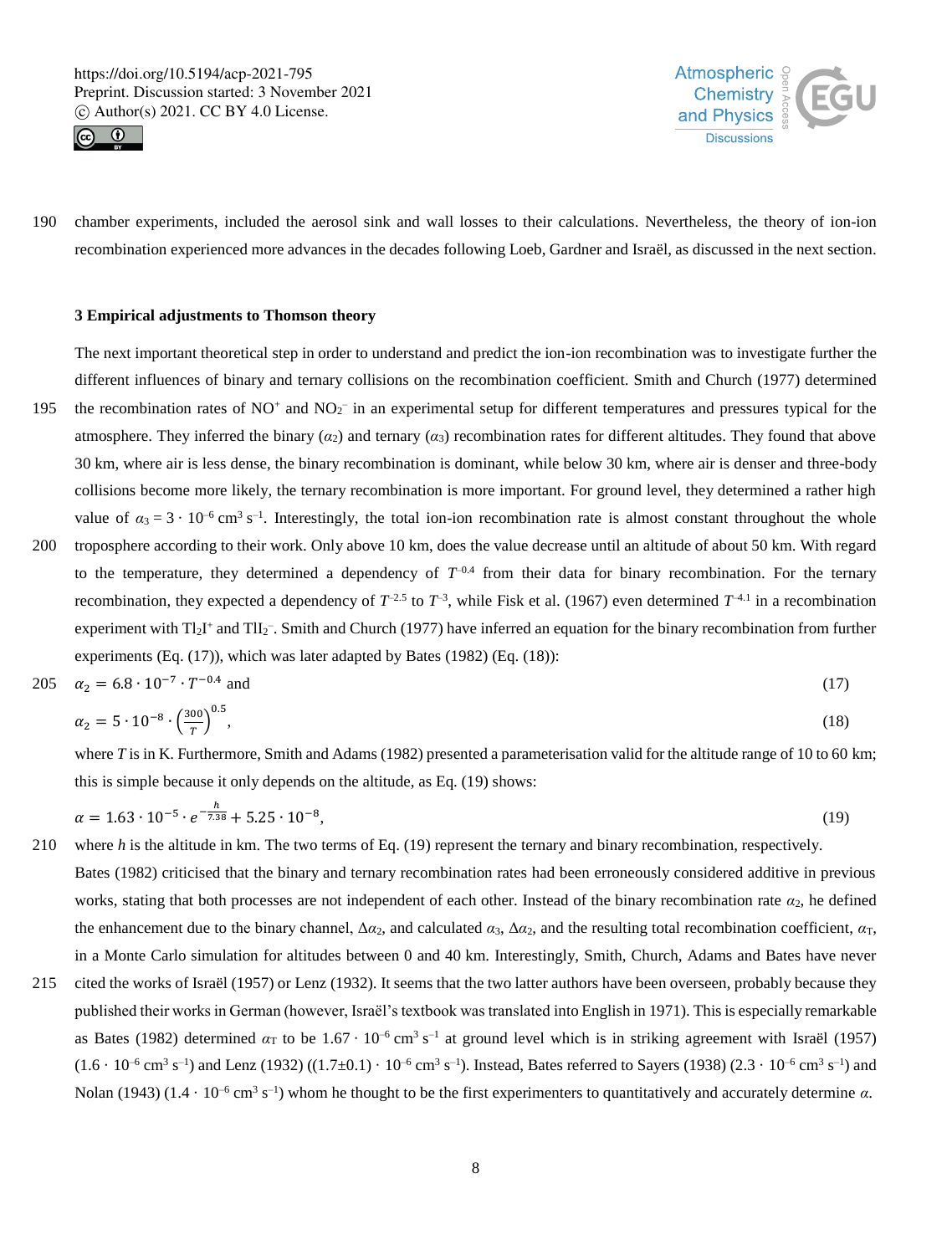



190 chamber experiments, included the aerosol sink and wall losses to their calculations. Nevertheless, the theory of ion-ion recombination experienced more advances in the decades following Loeb, Gardner and Israël, as discussed in the next section.

#### **3 Empirical adjustments to Thomson theory**

The next important theoretical step in order to understand and predict the ion-ion recombination was to investigate further the different influences of binary and ternary collisions on the recombination coefficient. Smith and Church (1977) determined

- 195 the recombination rates of  $NO^+$  and  $NO_2^-$  in an experimental setup for different temperatures and pressures typical for the atmosphere. They inferred the binary  $(\alpha_2)$  and ternary  $(\alpha_3)$  recombination rates for different altitudes. They found that above 30 km, where air is less dense, the binary recombination is dominant, while below 30 km, where air is denser and three-body collisions become more likely, the ternary recombination is more important. For ground level, they determined a rather high value of  $\alpha_3 = 3 \cdot 10^{-6}$  cm<sup>3</sup> s<sup>-1</sup>. Interestingly, the total ion-ion recombination rate is almost constant throughout the whole
- 200 troposphere according to their work. Only above 10 km, does the value decrease until an altitude of about 50 km. With regard to the temperature, they determined a dependency of  $T^{-0.4}$  from their data for binary recombination. For the ternary recombination, they expected a dependency of  $T^{2.5}$  to  $T^{-3}$ , while Fisk et al. (1967) even determined  $T^{4.1}$  in a recombination experiment with Tl<sub>2</sub>I<sup>+</sup> and TlI<sub>2</sub><sup>-</sup>. Smith and Church (1977) have inferred an equation for the binary recombination from further experiments (Eq. (17)), which was later adapted by Bates (1982) (Eq. (18)):

$$
205 \quad \alpha_2 = 6.8 \cdot 10^{-7} \cdot T^{-0.4} \text{ and } \tag{17}
$$

$$
\alpha_2 = 5 \cdot 10^{-8} \cdot \left(\frac{300}{T}\right)^{0.5},\tag{18}
$$

where *T* is in K. Furthermore, Smith and Adams (1982) presented a parameterisation valid for the altitude range of 10 to 60 km; this is simple because it only depends on the altitude, as Eq. (19) shows:

$$
\alpha = 1.63 \cdot 10^{-5} \cdot e^{-\frac{h}{7.38}} + 5.25 \cdot 10^{-8},\tag{19}
$$

- 210 where *h* is the altitude in km. The two terms of Eq. (19) represent the ternary and binary recombination, respectively. Bates (1982) criticised that the binary and ternary recombination rates had been erroneously considered additive in previous works, stating that both processes are not independent of each other. Instead of the binary recombination rate *α*2, he defined the enhancement due to the binary channel,  $\Delta \alpha_2$ , and calculated  $\alpha_3$ ,  $\Delta \alpha_2$ , and the resulting total recombination coefficient,  $\alpha_T$ , in a Monte Carlo simulation for altitudes between 0 and 40 km. Interestingly, Smith, Church, Adams and Bates have never
- 215 cited the works of Israël (1957) or Lenz (1932). It seems that the two latter authors have been overseen, probably because they published their works in German (however, Israël's textbook was translated into English in 1971). This is especially remarkable as Bates (1982) determined  $\alpha_T$  to be  $1.67 \cdot 10^{-6}$  cm<sup>3</sup> s<sup>-1</sup> at ground level which is in striking agreement with Israël (1957)  $(1.6 \cdot 10^{-6} \text{ cm}^3 \text{ s}^{-1})$  and Lenz  $(1932) ((1.7 \pm 0.1) \cdot 10^{-6} \text{ cm}^3 \text{ s}^{-1})$ . Instead, Bates referred to Sayers  $(1938) (2.3 \cdot 10^{-6} \text{ cm}^3 \text{ s}^{-1})$  and Nolan (1943) (1.4 · 10<sup>-6</sup> cm<sup>3</sup> s<sup>-1</sup>) whom he thought to be the first experimenters to quantitatively and accurately determine *α*.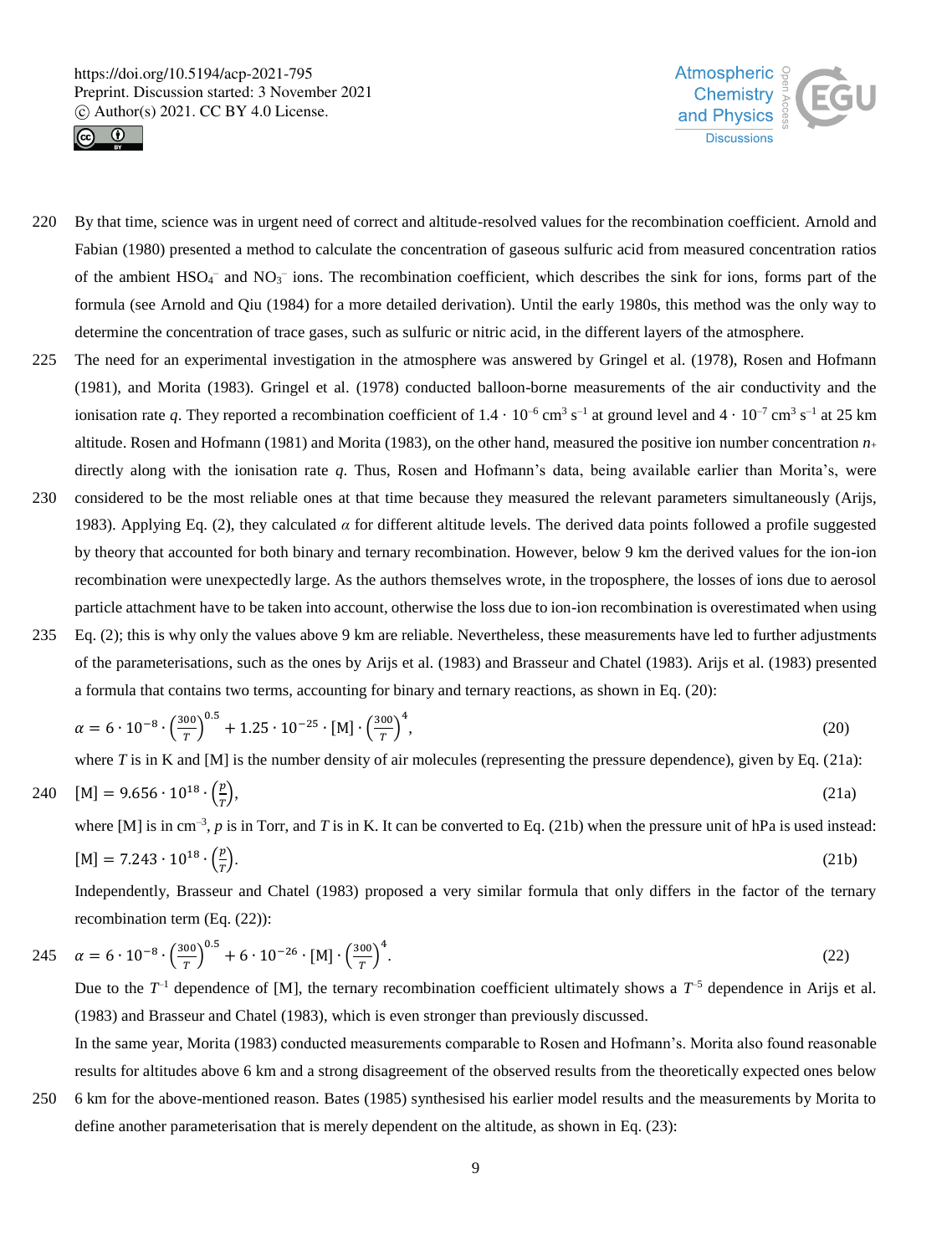



- 220 By that time, science was in urgent need of correct and altitude-resolved values for the recombination coefficient. Arnold and Fabian (1980) presented a method to calculate the concentration of gaseous sulfuric acid from measured concentration ratios of the ambient  $HSO<sub>4</sub>$  and  $NO<sub>3</sub>$  ions. The recombination coefficient, which describes the sink for ions, forms part of the formula (see Arnold and Qiu (1984) for a more detailed derivation). Until the early 1980s, this method was the only way to determine the concentration of trace gases, such as sulfuric or nitric acid, in the different layers of the atmosphere.
- 225 The need for an experimental investigation in the atmosphere was answered by Gringel et al. (1978), Rosen and Hofmann (1981), and Morita (1983). Gringel et al. (1978) conducted balloon-borne measurements of the air conductivity and the ionisation rate q. They reported a recombination coefficient of  $1.4 \cdot 10^{-6}$  cm<sup>3</sup> s<sup>-1</sup> at ground level and  $4 \cdot 10^{-7}$  cm<sup>3</sup> s<sup>-1</sup> at 25 km altitude. Rosen and Hofmann (1981) and Morita (1983), on the other hand, measured the positive ion number concentration  $n_+$ directly along with the ionisation rate *q*. Thus, Rosen and Hofmann's data, being available earlier than Morita's, were
- 230 considered to be the most reliable ones at that time because they measured the relevant parameters simultaneously (Arijs, 1983). Applying Eq. (2), they calculated  $\alpha$  for different altitude levels. The derived data points followed a profile suggested by theory that accounted for both binary and ternary recombination. However, below 9 km the derived values for the ion-ion recombination were unexpectedly large. As the authors themselves wrote, in the troposphere, the losses of ions due to aerosol particle attachment have to be taken into account, otherwise the loss due to ion-ion recombination is overestimated when using
- 235 Eq. (2); this is why only the values above 9 km are reliable. Nevertheless, these measurements have led to further adjustments of the parameterisations, such as the ones by Arijs et al. (1983) and Brasseur and Chatel (1983). Arijs et al. (1983) presented a formula that contains two terms, accounting for binary and ternary reactions, as shown in Eq. (20):

$$
\alpha = 6 \cdot 10^{-8} \cdot \left(\frac{300}{T}\right)^{0.5} + 1.25 \cdot 10^{-25} \cdot [M] \cdot \left(\frac{300}{T}\right)^4,\tag{20}
$$

where  $T$  is in K and  $[M]$  is the number density of air molecules (representing the pressure dependence), given by Eq. (21a):

$$
240 \quad [M] = 9.656 \cdot 10^{18} \cdot \left(\frac{p}{T}\right),\tag{21a}
$$

where [M] is in cm<sup>-3</sup>, p is in Torr, and T is in K. It can be converted to Eq. (21b) when the pressure unit of hPa is used instead:

$$
[M] = 7.243 \cdot 10^{18} \cdot \left(\frac{p}{\tau}\right). \tag{21b}
$$

Independently, Brasseur and Chatel (1983) proposed a very similar formula that only differs in the factor of the ternary recombination term (Eq. (22)):

245 
$$
\alpha = 6 \cdot 10^{-8} \cdot \left(\frac{300}{T}\right)^{0.5} + 6 \cdot 10^{-26} \cdot [M] \cdot \left(\frac{300}{T}\right)^4
$$
. (22)

Due to the  $T^{-1}$  dependence of [M], the ternary recombination coefficient ultimately shows a  $T^{-5}$  dependence in Arijs et al. (1983) and Brasseur and Chatel (1983), which is even stronger than previously discussed.

In the same year, Morita (1983) conducted measurements comparable to Rosen and Hofmann's. Morita also found reasonable results for altitudes above 6 km and a strong disagreement of the observed results from the theoretically expected ones below

250 6 km for the above-mentioned reason. Bates (1985) synthesised his earlier model results and the measurements by Morita to define another parameterisation that is merely dependent on the altitude, as shown in Eq. (23):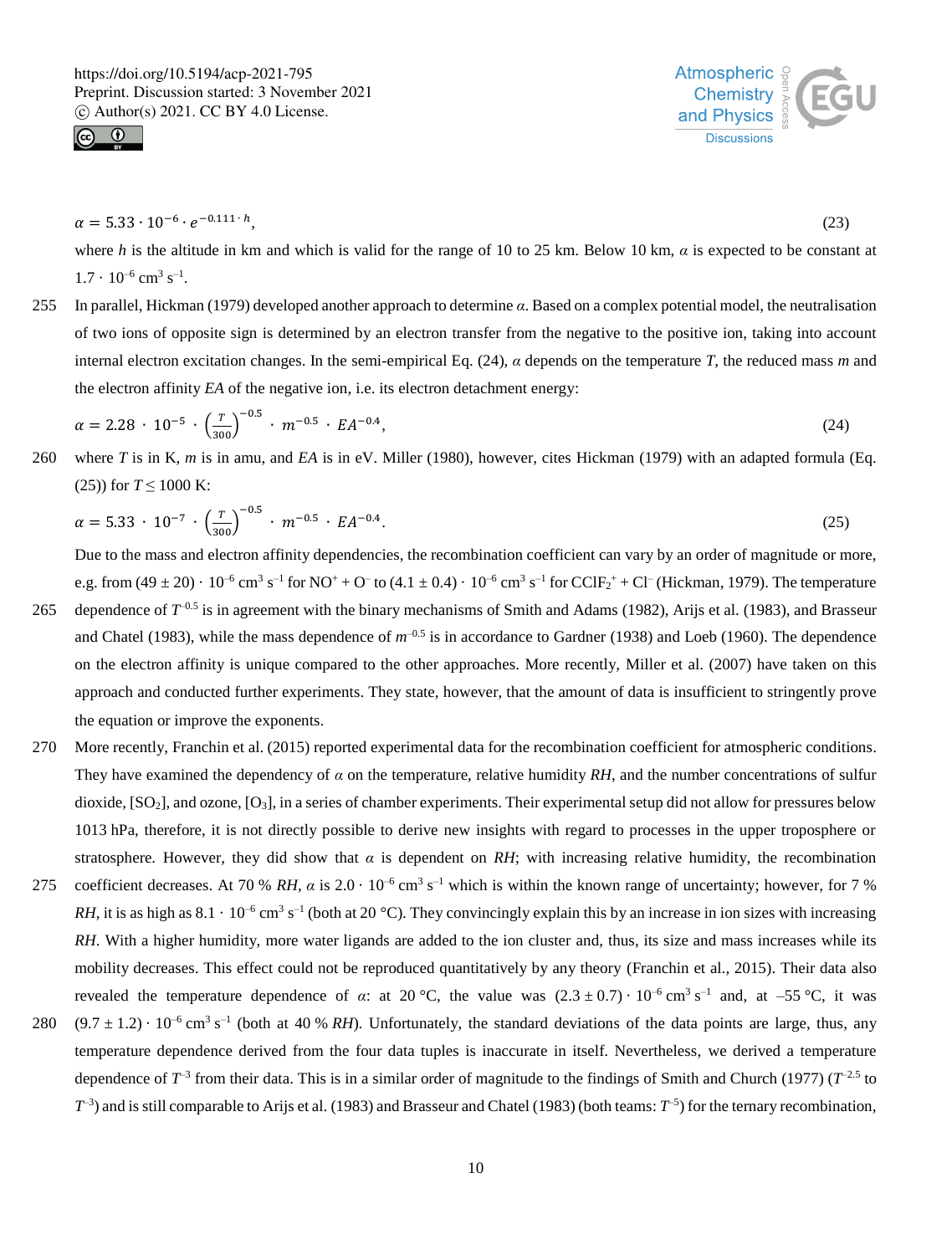



$$
\alpha = 5.33 \cdot 10^{-6} \cdot e^{-0.111 \cdot h},\tag{23}
$$

where *h* is the altitude in km and which is valid for the range of 10 to 25 km. Below 10 km, *α* is expected to be constant at  $1.7 \cdot 10^{-6}$  cm<sup>3</sup> s<sup>-1</sup>.

255 In parallel, Hickman (1979) developed another approach to determine *α*. Based on a complex potential model, the neutralisation of two ions of opposite sign is determined by an electron transfer from the negative to the positive ion, taking into account internal electron excitation changes. In the semi-empirical Eq. (24), *α* depends on the temperature *T*, the reduced mass *m* and the electron affinity *EA* of the negative ion, i.e. its electron detachment energy:

$$
\alpha = 2.28 \cdot 10^{-5} \cdot \left(\frac{T}{300}\right)^{-0.5} \cdot m^{-0.5} \cdot EA^{-0.4},\tag{24}
$$

260 where *T* is in K, *m* is in amu, and *EA* is in eV. Miller (1980), however, cites Hickman (1979) with an adapted formula (Eq. (25)) for  $T \le 1000$  K:

$$
\alpha = 5.33 \cdot 10^{-7} \cdot \left(\frac{r}{300}\right)^{-0.5} \cdot m^{-0.5} \cdot EA^{-0.4}.
$$

Due to the mass and electron affinity dependencies, the recombination coefficient can vary by an order of magnitude or more, e.g. from  $(49 \pm 20) \cdot 10^{-6}$  cm<sup>3</sup> s<sup>-1</sup> for NO<sup>+</sup> + O<sup>-</sup> to  $(4.1 \pm 0.4) \cdot 10^{-6}$  cm<sup>3</sup> s<sup>-1</sup> for CClF<sub>2</sub><sup>+</sup> + Cl<sup>-</sup> (Hickman, 1979). The temperature 265 dependence of  $T<sup>0.5</sup>$  is in agreement with the binary mechanisms of Smith and Adams (1982), Arijs et al. (1983), and Brasseur

- and Chatel (1983), while the mass dependence of  $m^{-0.5}$  is in accordance to Gardner (1938) and Loeb (1960). The dependence on the electron affinity is unique compared to the other approaches. More recently, Miller et al. (2007) have taken on this approach and conducted further experiments. They state, however, that the amount of data is insufficient to stringently prove the equation or improve the exponents.
- 270 More recently, Franchin et al. (2015) reported experimental data for the recombination coefficient for atmospheric conditions. They have examined the dependency of  $\alpha$  on the temperature, relative humidity RH, and the number concentrations of sulfur dioxide,  $[SO_2]$ , and ozone,  $[O_3]$ , in a series of chamber experiments. Their experimental setup did not allow for pressures below 1013 hPa, therefore, it is not directly possible to derive new insights with regard to processes in the upper troposphere or stratosphere. However, they did show that  $\alpha$  is dependent on *RH*; with increasing relative humidity, the recombination
- 275 coefficient decreases. At 70 % RH,  $\alpha$  is 2.0  $\cdot$  10<sup>-6</sup> cm<sup>3</sup> s<sup>-1</sup> which is within the known range of uncertainty; however, for 7 % *RH*, it is as high as  $8.1 \cdot 10^{-6}$  cm<sup>3</sup> s<sup>-1</sup> (both at 20 °C). They convincingly explain this by an increase in ion sizes with increasing *RH*. With a higher humidity, more water ligands are added to the ion cluster and, thus, its size and mass increases while its mobility decreases. This effect could not be reproduced quantitatively by any theory (Franchin et al., 2015). Their data also revealed the temperature dependence of *α*: at 20 °C, the value was  $(2.3 \pm 0.7) \cdot 10^{-6}$  cm<sup>3</sup> s<sup>-1</sup> and, at -55 °C, it was
- 280  $(9.7 \pm 1.2) \cdot 10^{-6}$  cm<sup>3</sup> s<sup>-1</sup> (both at 40 % *RH*). Unfortunately, the standard deviations of the data points are large, thus, any temperature dependence derived from the four data tuples is inaccurate in itself. Nevertheless, we derived a temperature dependence of  $T^{-3}$  from their data. This is in a similar order of magnitude to the findings of Smith and Church (1977) ( $T^{-2.5}$  to  $T^{-3}$ ) and is still comparable to Arijs et al. (1983) and Brasseur and Chatel (1983) (both teams:  $T^{-5}$ ) for the ternary recombination,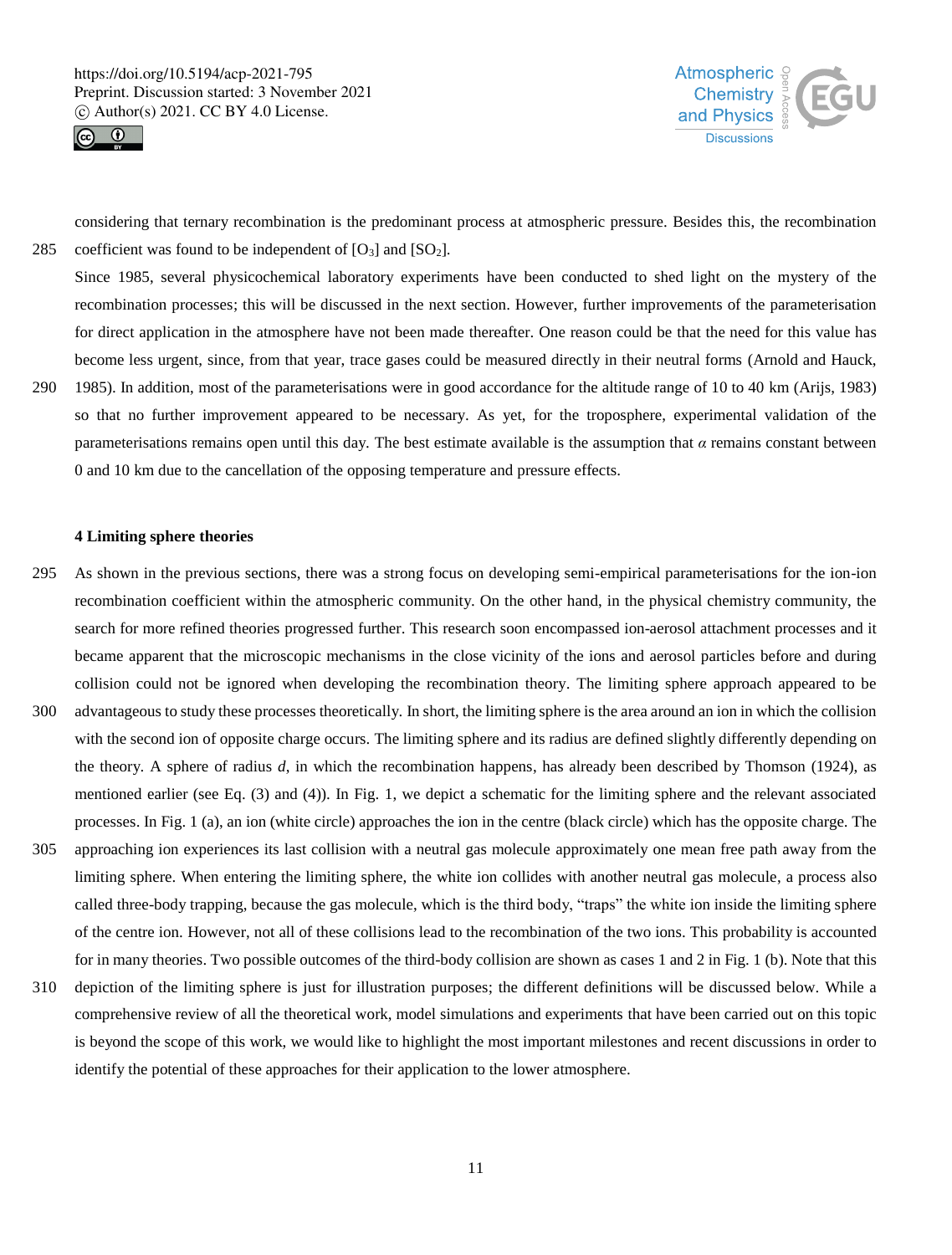



considering that ternary recombination is the predominant process at atmospheric pressure. Besides this, the recombination 285 coefficient was found to be independent of  $[O_3]$  and  $[SO_2]$ .

Since 1985, several physicochemical laboratory experiments have been conducted to shed light on the mystery of the recombination processes; this will be discussed in the next section. However, further improvements of the parameterisation for direct application in the atmosphere have not been made thereafter. One reason could be that the need for this value has become less urgent, since, from that year, trace gases could be measured directly in their neutral forms (Arnold and Hauck, 290 1985). In addition, most of the parameterisations were in good accordance for the altitude range of 10 to 40 km (Arijs, 1983)

so that no further improvement appeared to be necessary. As yet, for the troposphere, experimental validation of the parameterisations remains open until this day. The best estimate available is the assumption that  $\alpha$  remains constant between 0 and 10 km due to the cancellation of the opposing temperature and pressure effects.

#### **4 Limiting sphere theories**

- 295 As shown in the previous sections, there was a strong focus on developing semi-empirical parameterisations for the ion-ion recombination coefficient within the atmospheric community. On the other hand, in the physical chemistry community, the search for more refined theories progressed further. This research soon encompassed ion-aerosol attachment processes and it became apparent that the microscopic mechanisms in the close vicinity of the ions and aerosol particles before and during collision could not be ignored when developing the recombination theory. The limiting sphere approach appeared to be
- 300 advantageous to study these processes theoretically. In short, the limiting sphere is the area around an ion in which the collision with the second ion of opposite charge occurs. The limiting sphere and its radius are defined slightly differently depending on the theory. A sphere of radius *d*, in which the recombination happens, has already been described by Thomson (1924), as mentioned earlier (see Eq. (3) and (4)). In Fig. 1, we depict a schematic for the limiting sphere and the relevant associated processes. In Fig. 1 (a), an ion (white circle) approaches the ion in the centre (black circle) which has the opposite charge. The
- 305 approaching ion experiences its last collision with a neutral gas molecule approximately one mean free path away from the limiting sphere. When entering the limiting sphere, the white ion collides with another neutral gas molecule, a process also called three-body trapping, because the gas molecule, which is the third body, "traps" the white ion inside the limiting sphere of the centre ion. However, not all of these collisions lead to the recombination of the two ions. This probability is accounted for in many theories. Two possible outcomes of the third-body collision are shown as cases 1 and 2 in Fig. 1 (b). Note that this
- 310 depiction of the limiting sphere is just for illustration purposes; the different definitions will be discussed below. While a comprehensive review of all the theoretical work, model simulations and experiments that have been carried out on this topic is beyond the scope of this work, we would like to highlight the most important milestones and recent discussions in order to identify the potential of these approaches for their application to the lower atmosphere.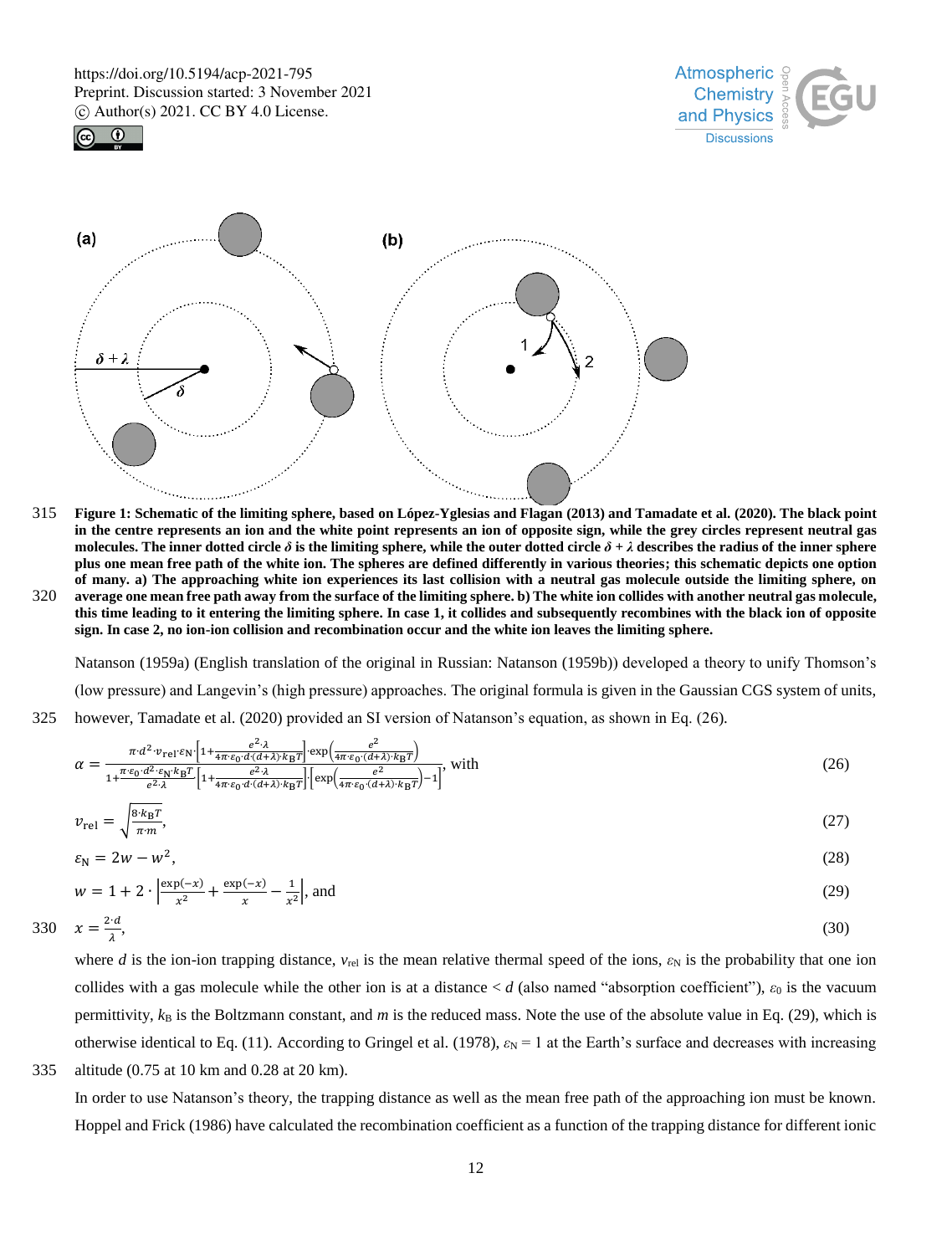





- 315 **Figure 1: Schematic of the limiting sphere, based on López-Yglesias and Flagan (2013) and Tamadate et al. (2020). The black point in the centre represents an ion and the white point represents an ion of opposite sign, while the grey circles represent neutral gas**  molecules. The inner dotted circle  $\delta$  is the limiting sphere, while the outer dotted circle  $\delta + \lambda$  describes the radius of the inner sphere **plus one mean free path of the white ion. The spheres are defined differently in various theories; this schematic depicts one option of many. a) The approaching white ion experiences its last collision with a neutral gas molecule outside the limiting sphere, on**
- 320 **average one mean free path away from the surface of the limiting sphere. b) The white ion collides with another neutral gas molecule, this time leading to it entering the limiting sphere. In case 1, it collides and subsequently recombines with the black ion of opposite sign. In case 2, no ion-ion collision and recombination occur and the white ion leaves the limiting sphere.**

Natanson (1959a) (English translation of the original in Russian: Natanson (1959b)) developed a theory to unify Thomson's (low pressure) and Langevin's (high pressure) approaches. The original formula is given in the Gaussian CGS system of units, 325 however, Tamadate et al. (2020) provided an SI version of Natanson's equation, as shown in Eq. (26).

$$
\alpha = \frac{\pi \cdot d^2 \cdot v_{\text{rel}} \cdot \varepsilon_{\text{N}} \cdot \left[1 + \frac{e^2 \cdot \lambda}{4 \pi \cdot \varepsilon_0 \cdot d \cdot (d + \lambda) \cdot k_{\text{B}} T}\right] \cdot \exp\left(\frac{e^2}{4 \pi \cdot \varepsilon_0 \cdot (d + \lambda) \cdot k_{\text{B}} T}\right)}{1 + \frac{\pi \cdot \varepsilon_0 \cdot d^2 \cdot \varepsilon_{\text{N}} \cdot k_{\text{B}} T}{e^2 \cdot \lambda} \cdot \left[1 + \frac{e^2 \cdot \lambda}{4 \pi \cdot \varepsilon_0 \cdot (d + \lambda) \cdot k_{\text{B}} T}\right] \cdot \left[\exp\left(\frac{e^2}{4 \pi \cdot \varepsilon_0 \cdot (d + \lambda) \cdot k_{\text{B}} T}\right) - 1\right]},
$$
 with

$$
v_{\rm rel} = \sqrt{\frac{8 \cdot k_{\rm B} T}{\pi \cdot m}},\tag{27}
$$

$$
\varepsilon_{\rm N} = 2w - w^2,\tag{28}
$$

$$
w = 1 + 2 \cdot \left| \frac{\exp(-x)}{x^2} + \frac{\exp(-x)}{x} - \frac{1}{x^2} \right|, \text{ and}
$$
  

$$
x = \frac{2d}{1},
$$
 (30)

$$
330 \quad x = \frac{2 \cdot d}{\lambda},\tag{30}
$$

λ

where *d* is the ion-ion trapping distance,  $v_{rel}$  is the mean relative thermal speed of the ions,  $\varepsilon_N$  is the probability that one ion collides with a gas molecule while the other ion is at a distance < *d* (also named "absorption coefficient"), *ε*<sup>0</sup> is the vacuum permittivity,  $k_B$  is the Boltzmann constant, and  $m$  is the reduced mass. Note the use of the absolute value in Eq. (29), which is otherwise identical to Eq. (11). According to Gringel et al. (1978),  $\varepsilon_N = 1$  at the Earth's surface and decreases with increasing



In order to use Natanson's theory, the trapping distance as well as the mean free path of the approaching ion must be known. Hoppel and Frick (1986) have calculated the recombination coefficient as a function of the trapping distance for different ionic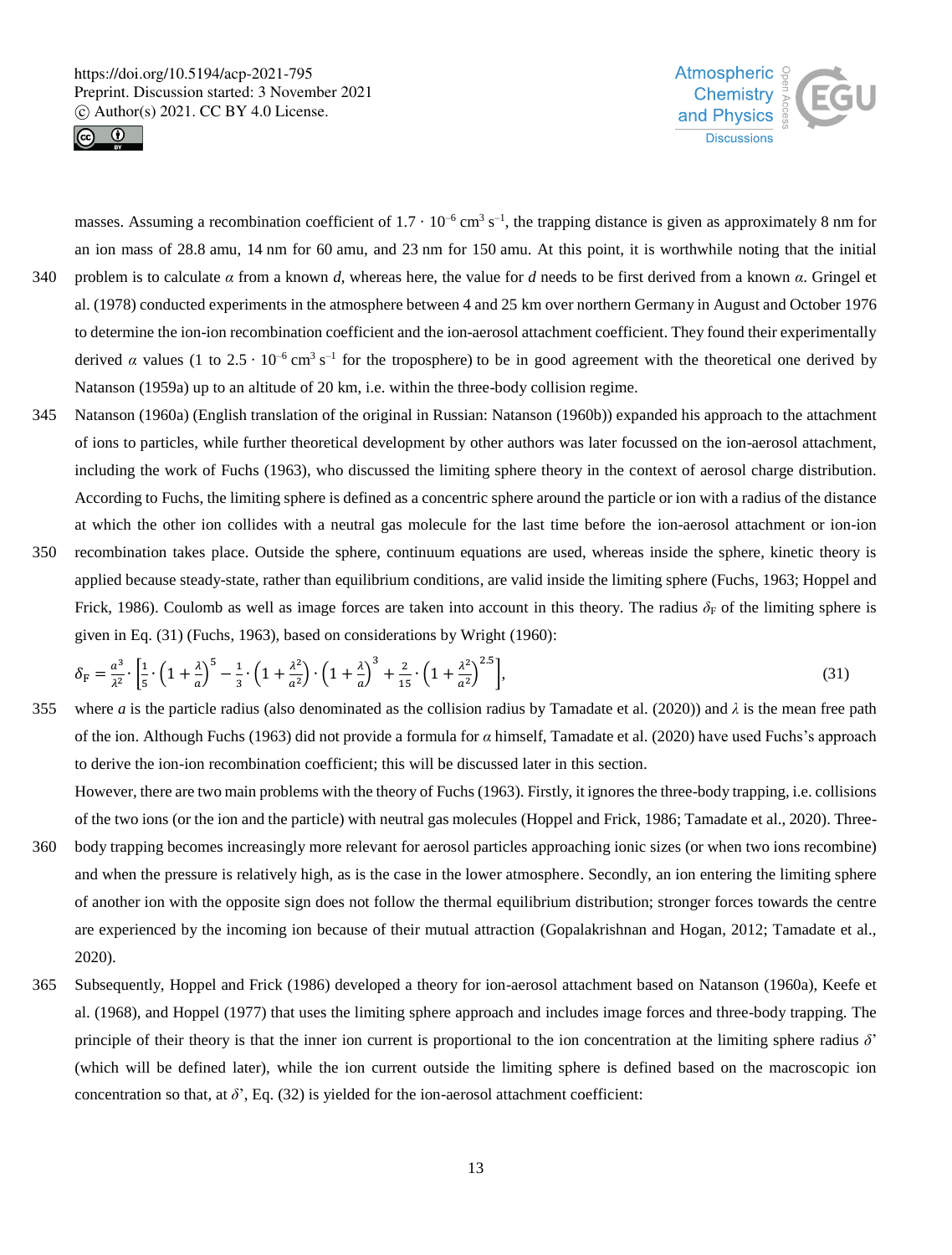



masses. Assuming a recombination coefficient of  $1.7 \cdot 10^{-6}$  cm<sup>3</sup> s<sup>-1</sup>, the trapping distance is given as approximately 8 nm for an ion mass of 28.8 amu, 14 nm for 60 amu, and 23 nm for 150 amu. At this point, it is worthwhile noting that the initial 340 problem is to calculate  $\alpha$  from a known *d*, whereas here, the value for *d* needs to be first derived from a known  $\alpha$ . Gringel et al. (1978) conducted experiments in the atmosphere between 4 and 25 km over northern Germany in August and October 1976 to determine the ion-ion recombination coefficient and the ion-aerosol attachment coefficient. They found their experimentally derived *α* values (1 to 2.5 · 10<sup>-6</sup> cm<sup>3</sup> s<sup>-1</sup> for the troposphere) to be in good agreement with the theoretical one derived by

345 Natanson (1960a) (English translation of the original in Russian: Natanson (1960b)) expanded his approach to the attachment of ions to particles, while further theoretical development by other authors was later focussed on the ion-aerosol attachment, including the work of Fuchs (1963), who discussed the limiting sphere theory in the context of aerosol charge distribution. According to Fuchs, the limiting sphere is defined as a concentric sphere around the particle or ion with a radius of the distance at which the other ion collides with a neutral gas molecule for the last time before the ion-aerosol attachment or ion-ion

Natanson (1959a) up to an altitude of 20 km, i.e. within the three-body collision regime.

350 recombination takes place. Outside the sphere, continuum equations are used, whereas inside the sphere, kinetic theory is applied because steady-state, rather than equilibrium conditions, are valid inside the limiting sphere (Fuchs, 1963; Hoppel and Frick, 1986). Coulomb as well as image forces are taken into account in this theory. The radius  $\delta_F$  of the limiting sphere is given in Eq. (31) (Fuchs, 1963), based on considerations by Wright (1960):

$$
\delta_{\rm F} = \frac{a^3}{\lambda^2} \cdot \left[ \frac{1}{5} \cdot \left( 1 + \frac{\lambda}{a} \right)^5 - \frac{1}{3} \cdot \left( 1 + \frac{\lambda^2}{a^2} \right) \cdot \left( 1 + \frac{\lambda}{a} \right)^3 + \frac{2}{15} \cdot \left( 1 + \frac{\lambda^2}{a^2} \right)^{2.5} \right],\tag{31}
$$

355 where *a* is the particle radius (also denominated as the collision radius by Tamadate et al. (2020)) and *λ* is the mean free path of the ion. Although Fuchs (1963) did not provide a formula for *α* himself, Tamadate et al. (2020) have used Fuchs's approach to derive the ion-ion recombination coefficient; this will be discussed later in this section.

However, there are two main problems with the theory of Fuchs (1963). Firstly, it ignores the three-body trapping, i.e. collisions of the two ions (or the ion and the particle) with neutral gas molecules (Hoppel and Frick, 1986; Tamadate et al., 2020). Three-

- 360 body trapping becomes increasingly more relevant for aerosol particles approaching ionic sizes (or when two ions recombine) and when the pressure is relatively high, as is the case in the lower atmosphere. Secondly, an ion entering the limiting sphere of another ion with the opposite sign does not follow the thermal equilibrium distribution; stronger forces towards the centre are experienced by the incoming ion because of their mutual attraction (Gopalakrishnan and Hogan, 2012; Tamadate et al., 2020).
- 365 Subsequently, Hoppel and Frick (1986) developed a theory for ion-aerosol attachment based on Natanson (1960a), Keefe et al. (1968), and Hoppel (1977) that uses the limiting sphere approach and includes image forces and three-body trapping. The principle of their theory is that the inner ion current is proportional to the ion concentration at the limiting sphere radius *δ*' (which will be defined later), while the ion current outside the limiting sphere is defined based on the macroscopic ion concentration so that, at  $\delta'$ , Eq. (32) is yielded for the ion-aerosol attachment coefficient: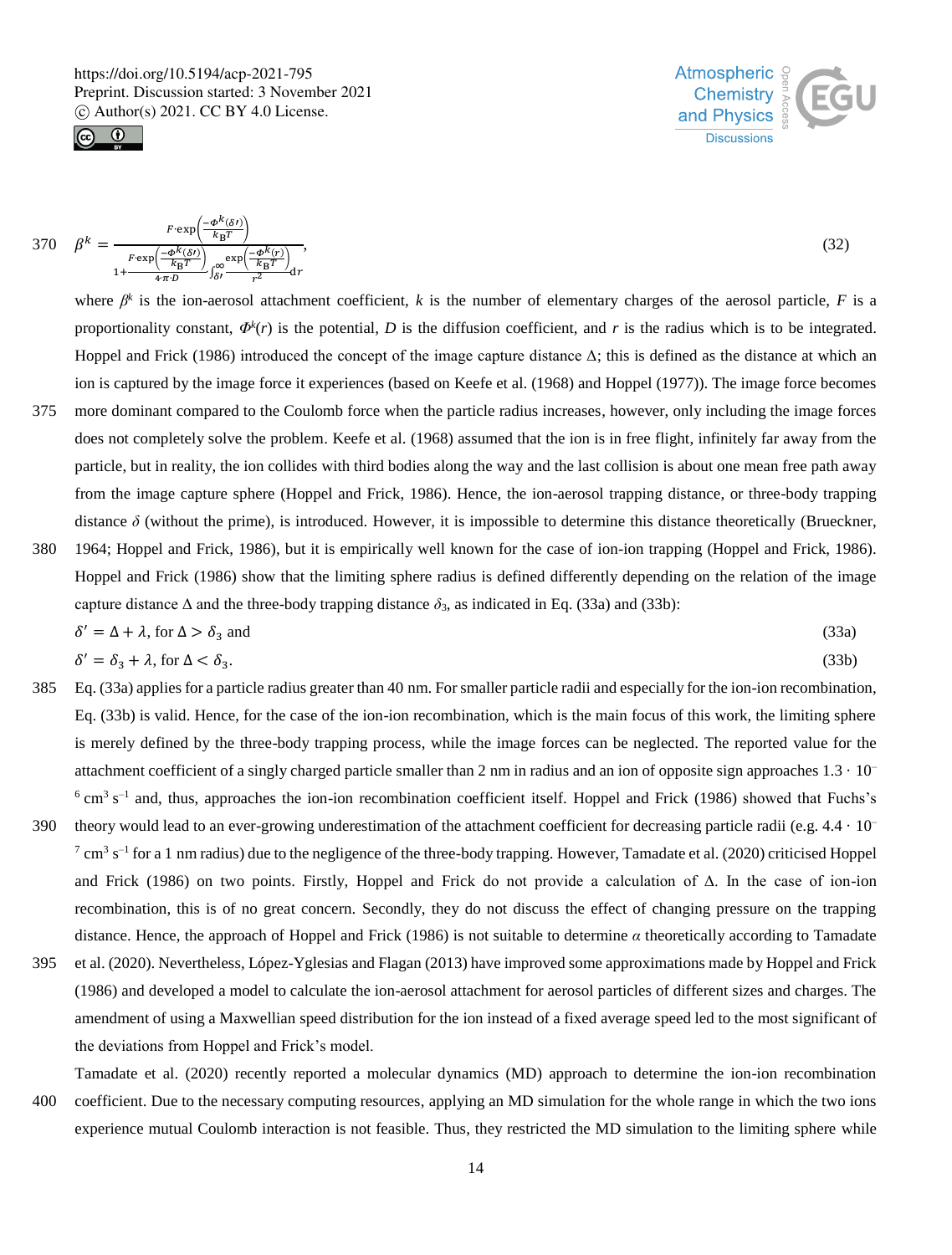



$$
370 \quad \beta^k = \frac{F \cdot \exp\left(\frac{-\phi^k(\delta t)}{k_B T}\right)}{1 + \frac{F \cdot \exp\left(\frac{-\phi^k(\delta t)}{k_B T}\right)}{4 \cdot r^2} \int_{\delta t}^{\infty} \frac{\exp\left(\frac{-\phi^k(r)}{k_B T}\right)}{r^2} dr},\tag{32}
$$

where  $\beta^k$  is the ion-aerosol attachment coefficient, *k* is the number of elementary charges of the aerosol particle, *F* is a proportionality constant,  $\Phi^k(r)$  is the potential, D is the diffusion coefficient, and r is the radius which is to be integrated. Hoppel and Frick (1986) introduced the concept of the image capture distance  $\Delta$ ; this is defined as the distance at which an ion is captured by the image force it experiences (based on Keefe et al. (1968) and Hoppel (1977)). The image force becomes 375 more dominant compared to the Coulomb force when the particle radius increases, however, only including the image forces

- does not completely solve the problem. Keefe et al. (1968) assumed that the ion is in free flight, infinitely far away from the particle, but in reality, the ion collides with third bodies along the way and the last collision is about one mean free path away from the image capture sphere (Hoppel and Frick, 1986). Hence, the ion-aerosol trapping distance, or three-body trapping distance *δ* (without the prime), is introduced. However, it is impossible to determine this distance theoretically (Brueckner,
- 380 1964; Hoppel and Frick, 1986), but it is empirically well known for the case of ion-ion trapping (Hoppel and Frick, 1986). Hoppel and Frick (1986) show that the limiting sphere radius is defined differently depending on the relation of the image capture distance  $\Delta$  and the three-body trapping distance  $\delta_3$ , as indicated in Eq. (33a) and (33b):

$$
\delta' = \Delta + \lambda, \text{ for } \Delta > \delta_3 \text{ and } \tag{33a}
$$

$$
\delta' = \delta_3 + \lambda, \text{ for } \Delta < \delta_3. \tag{33b}
$$

- 385 Eq. (33a) applies for a particle radius greater than 40 nm. For smaller particle radii and especially for the ion-ion recombination, Eq. (33b) is valid. Hence, for the case of the ion-ion recombination, which is the main focus of this work, the limiting sphere is merely defined by the three-body trapping process, while the image forces can be neglected. The reported value for the attachment coefficient of a singly charged particle smaller than 2 nm in radius and an ion of opposite sign approaches  $1.3 \cdot 10^{-1}$  $6 \text{ cm}^3$  s<sup>-1</sup> and, thus, approaches the ion-ion recombination coefficient itself. Hoppel and Frick (1986) showed that Fuchs's
- 390 theory would lead to an ever-growing underestimation of the attachment coefficient for decreasing particle radii (e.g.  $4.4 \cdot 10^{-7}$  $^7$  cm<sup>3</sup> s<sup>-1</sup> for a 1 nm radius) due to the negligence of the three-body trapping. However, Tamadate et al. (2020) criticised Hoppel and Frick (1986) on two points. Firstly, Hoppel and Frick do not provide a calculation of Δ. In the case of ion-ion recombination, this is of no great concern. Secondly, they do not discuss the effect of changing pressure on the trapping distance. Hence, the approach of Hoppel and Frick (1986) is not suitable to determine *α* theoretically according to Tamadate
- 395 et al. (2020). Nevertheless, López-Yglesias and Flagan (2013) have improved some approximations made by Hoppel and Frick (1986) and developed a model to calculate the ion-aerosol attachment for aerosol particles of different sizes and charges. The amendment of using a Maxwellian speed distribution for the ion instead of a fixed average speed led to the most significant of the deviations from Hoppel and Frick's model.

Tamadate et al. (2020) recently reported a molecular dynamics (MD) approach to determine the ion-ion recombination

400 coefficient. Due to the necessary computing resources, applying an MD simulation for the whole range in which the two ions experience mutual Coulomb interaction is not feasible. Thus, they restricted the MD simulation to the limiting sphere while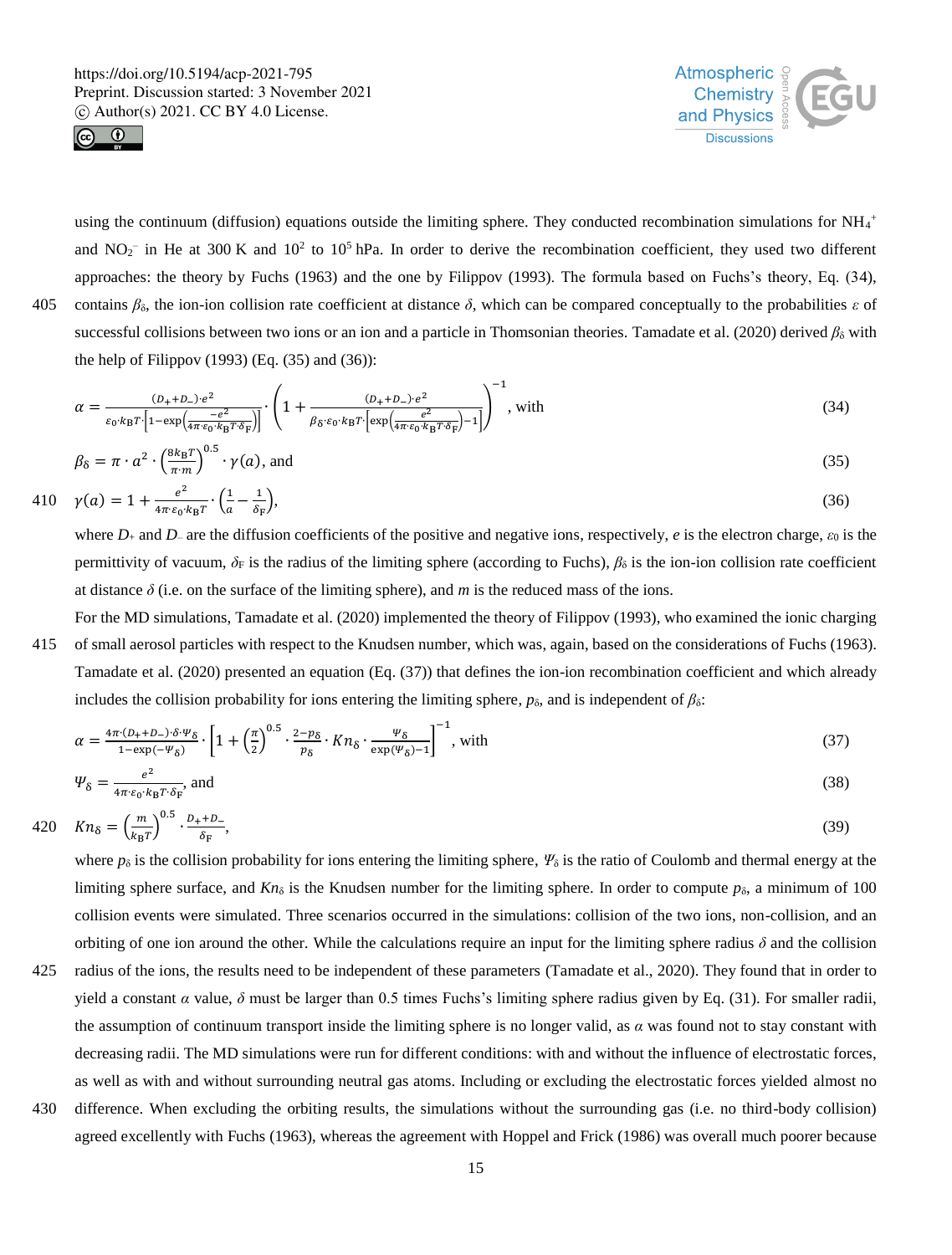



using the continuum (diffusion) equations outside the limiting sphere. They conducted recombination simulations for  $NH_4$ <sup>+</sup> and  $NO_2^-$  in He at 300 K and  $10^2$  to  $10^5$  hPa. In order to derive the recombination coefficient, they used two different approaches: the theory by Fuchs (1963) and the one by Filippov (1993). The formula based on Fuchs's theory, Eq. (34), 405 contains  $\beta_{\delta}$ , the ion-ion collision rate coefficient at distance  $\delta$ , which can be compared conceptually to the probabilities  $\varepsilon$  of successful collisions between two ions or an ion and a particle in Thomsonian theories. Tamadate et al. (2020) derived  $\beta_{\delta}$  with the help of Filippov  $(1993)$  (Eq.  $(35)$  and  $(36)$ ):

$$
\alpha = \frac{(D_+ + D_-) \cdot e^2}{\varepsilon_0 \cdot k_B T \cdot \left[1 - \exp\left(\frac{-e^2}{4\pi \cdot \varepsilon_0 \cdot k_B T \cdot \delta_F}\right)\right]} \cdot \left(1 + \frac{(D_+ + D_-) \cdot e^2}{\beta_0 \cdot \varepsilon_0 \cdot k_B T \cdot \left[\exp\left(\frac{e^2}{4\pi \cdot \varepsilon_0 \cdot k_B T \cdot \delta_F}\right) - 1\right]}\right)^{-1}, \text{ with} \tag{34}
$$

$$
\beta_{\delta} = \pi \cdot a^2 \cdot \left(\frac{8k_B T}{\pi m}\right)^{0.5} \cdot \gamma(a), \text{ and} \tag{35}
$$

410 
$$
\gamma(a) = 1 + \frac{e^2}{4\pi \epsilon_0 \cdot k_B T} \cdot \left(\frac{1}{a} - \frac{1}{\delta_F}\right),
$$
 (36)

where *D*<sup>+</sup> and *D*– are the diffusion coefficients of the positive and negative ions, respectively, *e* is the electron charge, *ε*<sup>0</sup> is the permittivity of vacuum,  $\delta_F$  is the radius of the limiting sphere (according to Fuchs),  $\beta_\delta$  is the ion-ion collision rate coefficient at distance  $\delta$  (i.e. on the surface of the limiting sphere), and *m* is the reduced mass of the ions.

For the MD simulations, Tamadate et al. (2020) implemented the theory of Filippov (1993), who examined the ionic charging 415 of small aerosol particles with respect to the Knudsen number, which was, again, based on the considerations of Fuchs (1963). Tamadate et al. (2020) presented an equation (Eq. (37)) that defines the ion-ion recombination coefficient and which already includes the collision probability for ions entering the limiting sphere,  $p_{\delta}$ , and is independent of  $\beta_{\delta}$ :

$$
\alpha = \frac{4\pi \cdot (D + D - \delta \cdot \Psi_{\delta})}{1 - \exp(-\Psi_{\delta})} \cdot \left[ 1 + \left(\frac{\pi}{2}\right)^{0.5} \cdot \frac{2 - p_{\delta}}{p_{\delta}} \cdot Kn_{\delta} \cdot \frac{\Psi_{\delta}}{\exp(\Psi_{\delta}) - 1} \right]^{-1}, \text{ with}
$$
\n(37)

$$
\Psi_{\delta} = \frac{e^2}{4\pi \epsilon_0 \cdot k_B T \cdot \delta_F}, \text{and} \tag{38}
$$

$$
420 \quad Kn_{\delta} = \left(\frac{m}{k_{\mathrm{B}}T}\right)^{0.5} \cdot \frac{D_{+} + D_{-}}{\delta_{\mathrm{F}}},\tag{39}
$$

where  $p_\delta$  is the collision probability for ions entering the limiting sphere,  $\Psi_\delta$  is the ratio of Coulomb and thermal energy at the limiting sphere surface, and  $Kn_{\delta}$  is the Knudsen number for the limiting sphere. In order to compute  $p_{\delta}$ , a minimum of 100 collision events were simulated. Three scenarios occurred in the simulations: collision of the two ions, non-collision, and an orbiting of one ion around the other. While the calculations require an input for the limiting sphere radius *δ* and the collision

- 425 radius of the ions, the results need to be independent of these parameters (Tamadate et al., 2020). They found that in order to yield a constant *α* value, *δ* must be larger than 0.5 times Fuchs's limiting sphere radius given by Eq. (31). For smaller radii, the assumption of continuum transport inside the limiting sphere is no longer valid, as *α* was found not to stay constant with decreasing radii. The MD simulations were run for different conditions: with and without the influence of electrostatic forces, as well as with and without surrounding neutral gas atoms. Including or excluding the electrostatic forces yielded almost no
- 430 difference. When excluding the orbiting results, the simulations without the surrounding gas (i.e. no third-body collision) agreed excellently with Fuchs (1963), whereas the agreement with Hoppel and Frick (1986) was overall much poorer because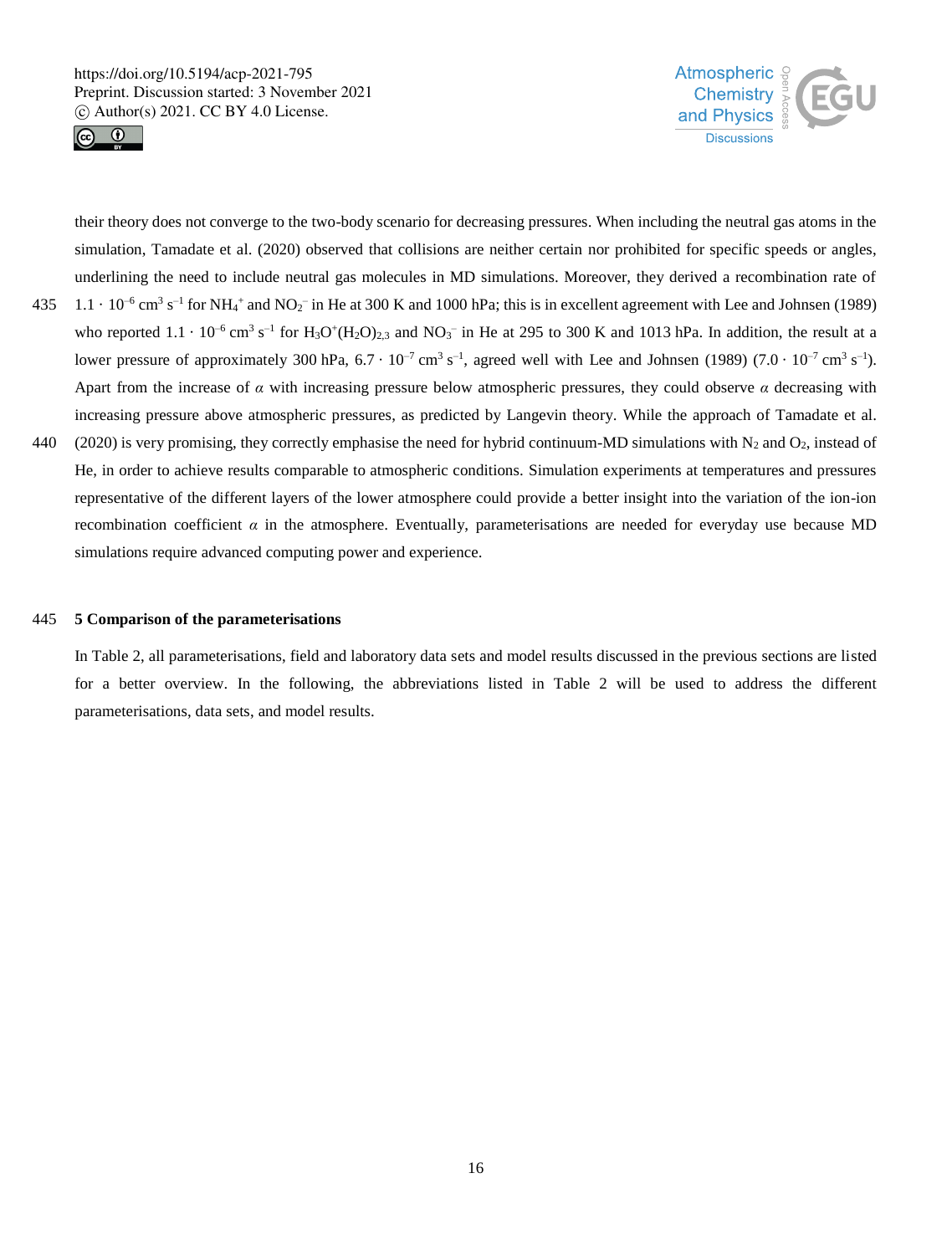



their theory does not converge to the two-body scenario for decreasing pressures. When including the neutral gas atoms in the simulation, Tamadate et al. (2020) observed that collisions are neither certain nor prohibited for specific speeds or angles, underlining the need to include neutral gas molecules in MD simulations. Moreover, they derived a recombination rate of  $1.1 \cdot 10^{-6}$  cm<sup>3</sup> s<sup>-1</sup> for NH<sub>4</sub><sup>+</sup> and NO<sub>2</sub><sup>-</sup> in He at 300 K and 1000 hPa; this is in excellent agreement with Lee and Johnsen (1989) who reported  $1.1 \cdot 10^{-6}$  cm<sup>3</sup> s<sup>-1</sup> for H<sub>3</sub>O<sup>+</sup>(H<sub>2</sub>O)<sub>2,3</sub> and NO<sub>3</sub><sup>-</sup> in He at 295 to 300 K and 1013 hPa. In addition, the result at a lower pressure of approximately 300 hPa,  $6.7 \cdot 10^{-7}$  cm<sup>3</sup> s<sup>-1</sup>, agreed well with Lee and Johnsen (1989)  $(7.0 \cdot 10^{-7}$  cm<sup>3</sup> s<sup>-1</sup>). Apart from the increase of  $\alpha$  with increasing pressure below atmospheric pressures, they could observe  $\alpha$  decreasing with increasing pressure above atmospheric pressures, as predicted by Langevin theory. While the approach of Tamadate et al. 440 (2020) is very promising, they correctly emphasise the need for hybrid continuum-MD simulations with  $N_2$  and  $O_2$ , instead of He, in order to achieve results comparable to atmospheric conditions. Simulation experiments at temperatures and pressures representative of the different layers of the lower atmosphere could provide a better insight into the variation of the ion-ion recombination coefficient  $\alpha$  in the atmosphere. Eventually, parameterisations are needed for everyday use because MD simulations require advanced computing power and experience.

#### 445 **5 Comparison of the parameterisations**

In Table 2, all parameterisations, field and laboratory data sets and model results discussed in the previous sections are listed for a better overview. In the following, the abbreviations listed in Table 2 will be used to address the different parameterisations, data sets, and model results.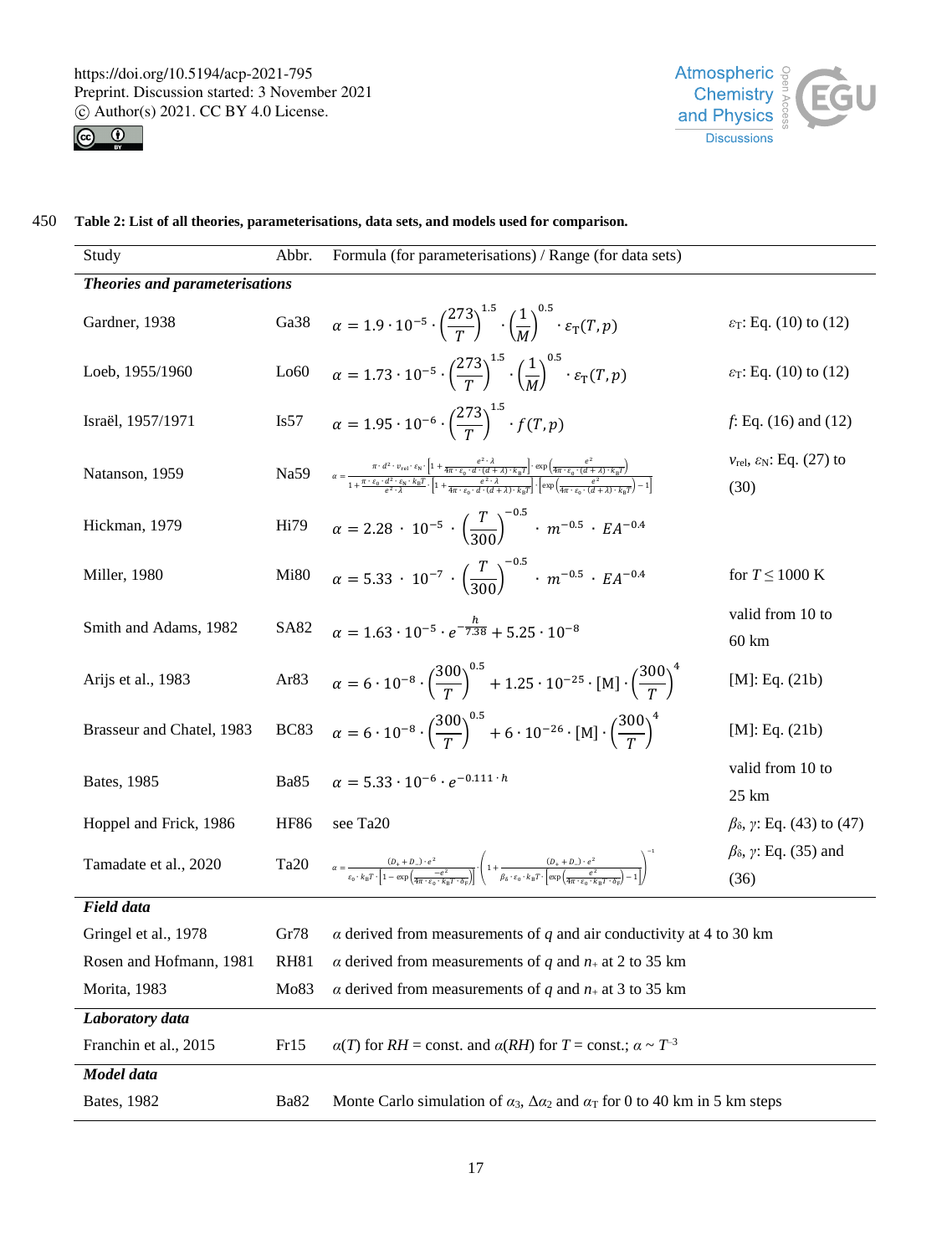



| Study                          | Abbr.                 | Formula (for parameterisations) / Range (for data sets)                                                                                                                                                                                                                                                                                                                                                                                                                                                                                       |                                                                   |  |  |  |
|--------------------------------|-----------------------|-----------------------------------------------------------------------------------------------------------------------------------------------------------------------------------------------------------------------------------------------------------------------------------------------------------------------------------------------------------------------------------------------------------------------------------------------------------------------------------------------------------------------------------------------|-------------------------------------------------------------------|--|--|--|
| Theories and parameterisations |                       |                                                                                                                                                                                                                                                                                                                                                                                                                                                                                                                                               |                                                                   |  |  |  |
| Gardner, 1938                  | Ga38                  | $\alpha = 1.9 \cdot 10^{-5} \cdot \left(\frac{273}{T}\right)^{1.5} \cdot \left(\frac{1}{M}\right)^{0.5} \cdot \varepsilon_{\rm T}(T,p)$                                                                                                                                                                                                                                                                                                                                                                                                       | $\varepsilon_{\rm T}$ : Eq. (10) to (12)                          |  |  |  |
| Loeb, 1955/1960                | Lo60                  | $\alpha = 1.73 \cdot 10^{-5} \cdot \left(\frac{273}{T}\right)^{1.5} \cdot \left(\frac{1}{M}\right)^{0.5} \cdot \varepsilon_{\rm T}(T,p)$                                                                                                                                                                                                                                                                                                                                                                                                      | $\varepsilon_{\rm T}$ : Eq. (10) to (12)                          |  |  |  |
| Israël, 1957/1971              | $\operatorname{Is57}$ | $\alpha = 1.95 \cdot 10^{-6} \cdot \left(\frac{273}{T}\right)^{1.5} \cdot f(T, p)$                                                                                                                                                                                                                                                                                                                                                                                                                                                            | f: Eq. (16) and (12)                                              |  |  |  |
| Natanson, 1959                 | Na59                  | $\alpha=\frac{\pi\cdot d^2\cdot v_{\rm rel}\cdot\epsilon_{\rm N}\cdot\left[1+\frac{e^{\epsilon}\cdot\lambda}{4\pi\cdot\epsilon_{\rm D}\cdot d}\cdot\frac{(\lambda+\lambda)\cdot k_{\rm B}T\right]\cdot\exp\left(\frac{e^{\epsilon}\cdot\lambda}{4\pi\cdot\epsilon_{\rm D}\cdot d\cdot d\cdot\lambda\right)\cdot k_{\rm B}T\right]}{1+\frac{\pi\cdot\epsilon_{\rm D}\cdot d^2\cdot\epsilon_{\rm M}\cdot k_{\rm B}T}{2\cdot\epsilon_{\rm M}\cdot k_{\rm B}T}\cdot\left[1+\frac{e^{\epsilon}\cdot\lambda}{4\pi\cdot\epsilon_{\rm D}\cdot d\cdot$ | $v_{\text{rel}}$ , $\varepsilon_{\text{N}}$ : Eq. (27) to<br>(30) |  |  |  |
| Hickman, 1979                  | Hi79                  | $\alpha = 2.28 \cdot 10^{-5} \cdot \left(\frac{T}{200}\right)^{-0.5} \cdot m^{-0.5} \cdot EA^{-0.4}$                                                                                                                                                                                                                                                                                                                                                                                                                                          |                                                                   |  |  |  |
| Miller, 1980                   | Mi80                  | $\alpha = 5.33 \cdot 10^{-7} \cdot \left(\frac{T}{200}\right)^{-0.5} \cdot m^{-0.5} \cdot EA^{-0.4}$                                                                                                                                                                                                                                                                                                                                                                                                                                          | for $T \leq 1000$ K                                               |  |  |  |
| Smith and Adams, 1982          | <b>SA82</b>           | $\alpha = 1.63 \cdot 10^{-5} \cdot e^{-\frac{h}{7.38}+5.25 \cdot 10^{-8}}$                                                                                                                                                                                                                                                                                                                                                                                                                                                                    | valid from 10 to<br>$60 \text{ km}$                               |  |  |  |
| Arijs et al., 1983             | Ar83                  | $\alpha = 6 \cdot 10^{-8} \cdot \left(\frac{300}{T}\right)^{0.5} + 1.25 \cdot 10^{-25} \cdot [M] \cdot \left(\frac{300}{T}\right)^4$                                                                                                                                                                                                                                                                                                                                                                                                          | [M]: Eq. (21b)                                                    |  |  |  |
| Brasseur and Chatel, 1983      | BC83                  | $\alpha = 6 \cdot 10^{-8} \cdot \left(\frac{300}{T}\right)^{0.5} + 6 \cdot 10^{-26} \cdot [M] \cdot \left(\frac{300}{T}\right)^4$                                                                                                                                                                                                                                                                                                                                                                                                             | [M]: Eq. (21b)                                                    |  |  |  |
| Bates, 1985                    | <b>Ba85</b>           | $\alpha = 5.33 \cdot 10^{-6} \cdot e^{-0.111 \cdot h}$                                                                                                                                                                                                                                                                                                                                                                                                                                                                                        | valid from 10 to<br>25 km                                         |  |  |  |
| Hoppel and Frick, 1986         | <b>HF86</b>           | see Ta <sub>20</sub>                                                                                                                                                                                                                                                                                                                                                                                                                                                                                                                          | $β_δ$ , γ: Eq. (43) to (47)                                       |  |  |  |
| Tamadate et al., 2020          | Ta <sub>20</sub>      | $\alpha = \frac{(D_+ + D_-) \cdot e^2}{\varepsilon_0 \cdot k_B T \cdot \left[1 - \exp\left(\frac{-e^2}{4 \varepsilon_0 \sqrt{1 - \frac{e^2}{\varepsilon_0 \sqrt{1 - \frac{e^2}{\varepsilon_0 \sqrt{1 - \frac{e^2}{\varepsilon_0 \sqrt{1 - \frac{e^2}{\varepsilon_0 \sqrt{1 - \frac{e^2}{\varepsilon_0 \sqrt{1 - \frac{e^2}{\varepsilon_0 \sqrt{1 - \frac{e^2}{\varepsilon_0 \sqrt{1 - \frac{e^2}{\varepsilon_0 \sqrt{1 - \frac{e^2}{\varepsilon_0 \sqrt{$                                                                                     | $\beta_{\delta}$ , y: Eq. (35) and<br>(36)                        |  |  |  |
| <b>Field data</b>              |                       |                                                                                                                                                                                                                                                                                                                                                                                                                                                                                                                                               |                                                                   |  |  |  |
| Gringel et al., 1978           | Gr78                  | $\alpha$ derived from measurements of $q$ and air conductivity at 4 to 30 km                                                                                                                                                                                                                                                                                                                                                                                                                                                                  |                                                                   |  |  |  |
| Rosen and Hofmann, 1981        | <b>RH81</b>           | $\alpha$ derived from measurements of q and $n_+$ at 2 to 35 km                                                                                                                                                                                                                                                                                                                                                                                                                                                                               |                                                                   |  |  |  |
| Morita, 1983                   | Mo83                  | $\alpha$ derived from measurements of $q$ and $n_+$ at 3 to 35 km                                                                                                                                                                                                                                                                                                                                                                                                                                                                             |                                                                   |  |  |  |
| Laboratory data                |                       |                                                                                                                                                                                                                                                                                                                                                                                                                                                                                                                                               |                                                                   |  |  |  |
| Franchin et al., 2015          | Fr15                  | $\alpha(T)$ for $RH = \text{const.}$ and $\alpha(RH)$ for $T = \text{const.}; \alpha \sim T^{-3}$                                                                                                                                                                                                                                                                                                                                                                                                                                             |                                                                   |  |  |  |
| Model data                     |                       |                                                                                                                                                                                                                                                                                                                                                                                                                                                                                                                                               |                                                                   |  |  |  |
| <b>Bates</b> , 1982            | Ba82                  | Monte Carlo simulation of $\alpha_3$ , $\Delta \alpha_2$ and $\alpha_T$ for 0 to 40 km in 5 km steps                                                                                                                                                                                                                                                                                                                                                                                                                                          |                                                                   |  |  |  |

450 **Table 2: List of all theories, parameterisations, data sets, and models used for comparison.**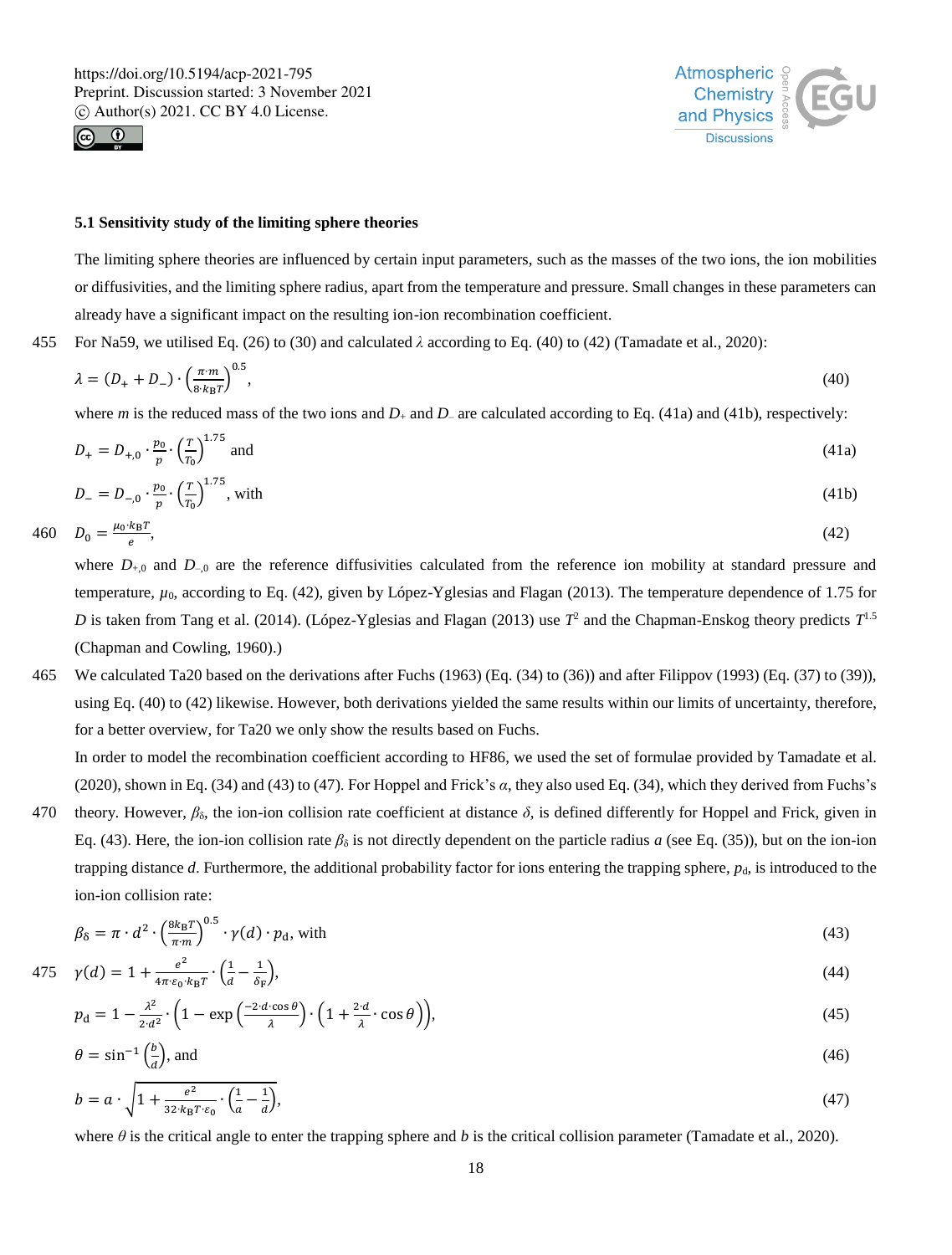



#### **5.1 Sensitivity study of the limiting sphere theories**

The limiting sphere theories are influenced by certain input parameters, such as the masses of the two ions, the ion mobilities or diffusivities, and the limiting sphere radius, apart from the temperature and pressure. Small changes in these parameters can already have a significant impact on the resulting ion-ion recombination coefficient.

455 For Na59, we utilised Eq. (26) to (30) and calculated *λ* according to Eq. (40) to (42) (Tamadate et al., 2020):

$$
\lambda = (D_+ + D_-) \cdot \left(\frac{\pi m}{8 \cdot k_B T}\right)^{0.5},\tag{40}
$$

where *m* is the reduced mass of the two ions and  $D_+$  and  $D_-$  are calculated according to Eq. (41a) and (41b), respectively:

$$
D_{+} = D_{+,0} \cdot \frac{p_0}{p} \cdot \left(\frac{r}{T_0}\right)^{1.75} \text{ and } (41a)
$$

$$
D_{-} = D_{-,0} \cdot \frac{p_0}{p} \cdot \left(\frac{T}{T_0}\right)^{1.75}, \text{ with } (41b)
$$

$$
460 \t D_0 = \frac{\mu_0 \cdot k_B T}{e},\t(42)
$$

 $D_0 = \frac{\mu_0 \cdot k_B T}{\rho}$ 

where  $D_{+,0}$  and  $D_{-,0}$  are the reference diffusivities calculated from the reference ion mobility at standard pressure and temperature, *µ*0, according to Eq. (42), given by López-Yglesias and Flagan (2013). The temperature dependence of 1.75 for *D* is taken from Tang et al. (2014). (López-Yglesias and Flagan (2013) use *T* 2 and the Chapman-Enskog theory predicts *T* 1.5 (Chapman and Cowling, 1960).)

465 We calculated Ta20 based on the derivations after Fuchs (1963) (Eq. (34) to (36)) and after Filippov (1993) (Eq. (37) to (39)), using Eq. (40) to (42) likewise. However, both derivations yielded the same results within our limits of uncertainty, therefore, for a better overview, for Ta20 we only show the results based on Fuchs.

In order to model the recombination coefficient according to HF86, we used the set of formulae provided by Tamadate et al. (2020), shown in Eq. (34) and (43) to (47). For Hoppel and Frick's *α*, they also used Eq. (34), which they derived from Fuchs's

470 theory. However,  $\beta_{\delta}$ , the ion-ion collision rate coefficient at distance  $\delta$ , is defined differently for Hoppel and Frick, given in Eq. (43). Here, the ion-ion collision rate  $\beta_{\delta}$  is not directly dependent on the particle radius *a* (see Eq. (35)), but on the ion-ion trapping distance *d*. Furthermore, the additional probability factor for ions entering the trapping sphere,  $p_d$ , is introduced to the ion-ion collision rate:

$$
\beta_{\delta} = \pi \cdot d^2 \cdot \left(\frac{8k_B T}{\pi \cdot m}\right)^{0.5} \cdot \gamma(d) \cdot p_d, \text{ with } \tag{43}
$$

$$
475 \quad \gamma(d) = 1 + \frac{e^2}{4\pi \epsilon_0 \cdot k_B T} \cdot \left(\frac{1}{d} - \frac{1}{\delta_F}\right),\tag{44}
$$

$$
p_{\rm d} = 1 - \frac{\lambda^2}{2 \cdot d^2} \cdot \left( 1 - \exp\left(\frac{-2 \cdot d \cos \theta}{\lambda}\right) \cdot \left(1 + \frac{2 \cdot d}{\lambda} \cdot \cos \theta\right) \right),\tag{45}
$$

$$
\theta = \sin^{-1}\left(\frac{b}{d}\right), \text{ and} \tag{46}
$$

$$
b = a \cdot \sqrt{1 + \frac{e^2}{32 \cdot k_B T \cdot \varepsilon_0} \cdot \left(\frac{1}{a} - \frac{1}{d}\right)},\tag{47}
$$

where *θ* is the critical angle to enter the trapping sphere and *b* is the critical collision parameter (Tamadate et al., 2020).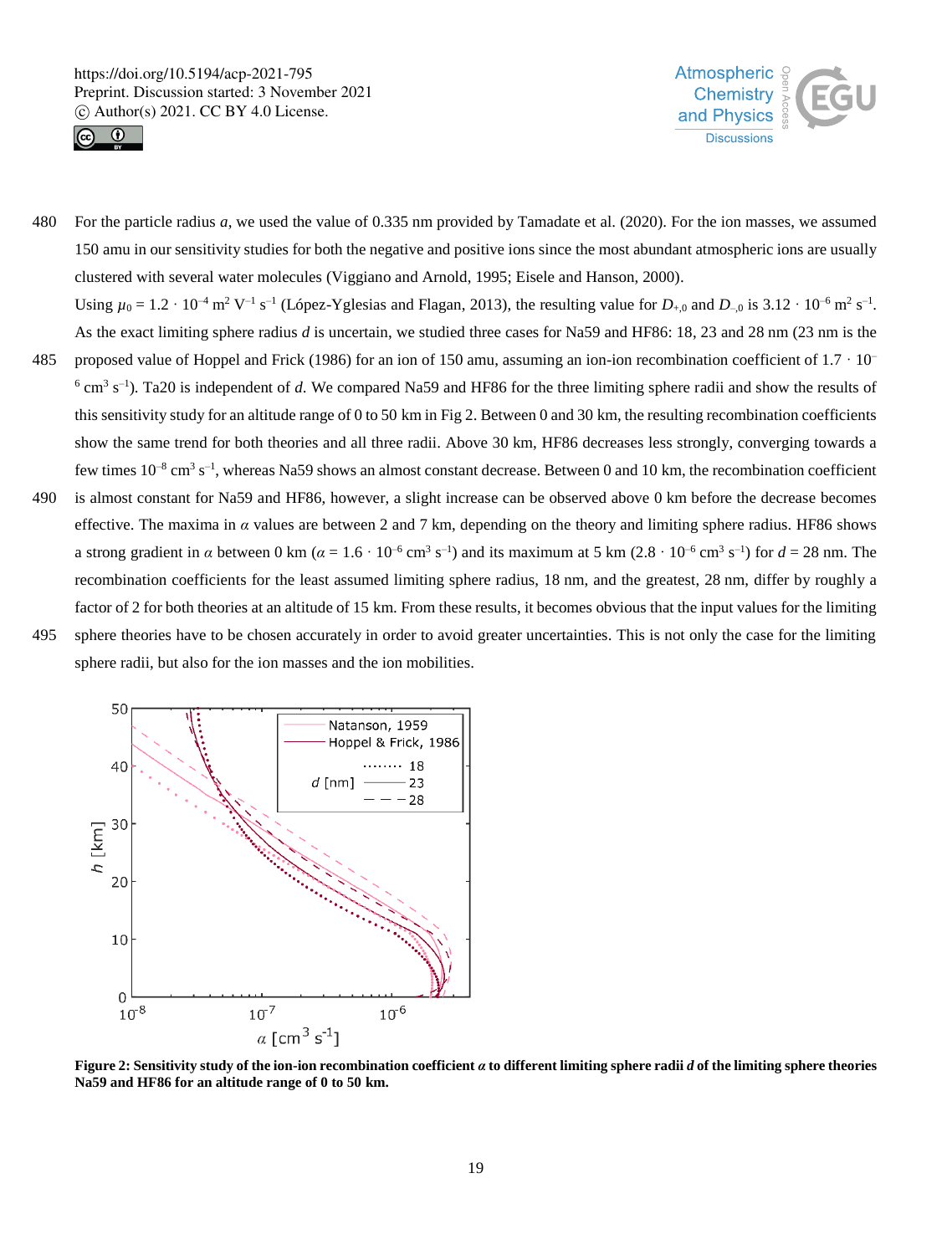



- 480 For the particle radius *a*, we used the value of 0.335 nm provided by Tamadate et al. (2020). For the ion masses, we assumed 150 amu in our sensitivity studies for both the negative and positive ions since the most abundant atmospheric ions are usually clustered with several water molecules (Viggiano and Arnold, 1995; Eisele and Hanson, 2000). Using  $\mu_0 = 1.2 \cdot 10^{-4} \text{ m}^2 \text{ V}^{-1} \text{ s}^{-1}$  (López-Yglesias and Flagan, 2013), the resulting value for  $D_{+,0}$  and  $D_{-,0}$  is 3.12  $\cdot 10^{-6} \text{ m}^2 \text{ s}^{-1}$ . As the exact limiting sphere radius *d* is uncertain, we studied three cases for Na59 and HF86: 18, 23 and 28 nm (23 nm is the
- 485 proposed value of Hoppel and Frick (1986) for an ion of 150 amu, assuming an ion-ion recombination coefficient of  $1.7 \cdot 10^{-1}$  $^6$  cm<sup>3</sup> s<sup>-1</sup>). Ta20 is independent of *d*. We compared Na59 and HF86 for the three limiting sphere radii and show the results of this sensitivity study for an altitude range of 0 to 50 km in Fig 2. Between 0 and 30 km, the resulting recombination coefficients show the same trend for both theories and all three radii. Above 30 km, HF86 decreases less strongly, converging towards a few times  $10^{-8}$  cm<sup>3</sup> s<sup>-1</sup>, whereas Na59 shows an almost constant decrease. Between 0 and 10 km, the recombination coefficient
- 490 is almost constant for Na59 and HF86, however, a slight increase can be observed above 0 km before the decrease becomes effective. The maxima in  $\alpha$  values are between 2 and 7 km, depending on the theory and limiting sphere radius. HF86 shows a strong gradient in  $\alpha$  between 0 km ( $\alpha = 1.6 \cdot 10^{-6}$  cm<sup>3</sup> s<sup>-1</sup>) and its maximum at 5 km (2.8  $\cdot$  10<sup>-6</sup> cm<sup>3</sup> s<sup>-1</sup>) for  $d = 28$  nm. The recombination coefficients for the least assumed limiting sphere radius, 18 nm, and the greatest, 28 nm, differ by roughly a factor of 2 for both theories at an altitude of 15 km. From these results, it becomes obvious that the input values for the limiting
- 495 sphere theories have to be chosen accurately in order to avoid greater uncertainties. This is not only the case for the limiting

sphere radii, but also for the ion masses and the ion mobilities.



**Figure 2: Sensitivity study of the ion-ion recombination coefficient** *α* **to different limiting sphere radii** *d* **of the limiting sphere theories Na59 and HF86 for an altitude range of 0 to 50 km.**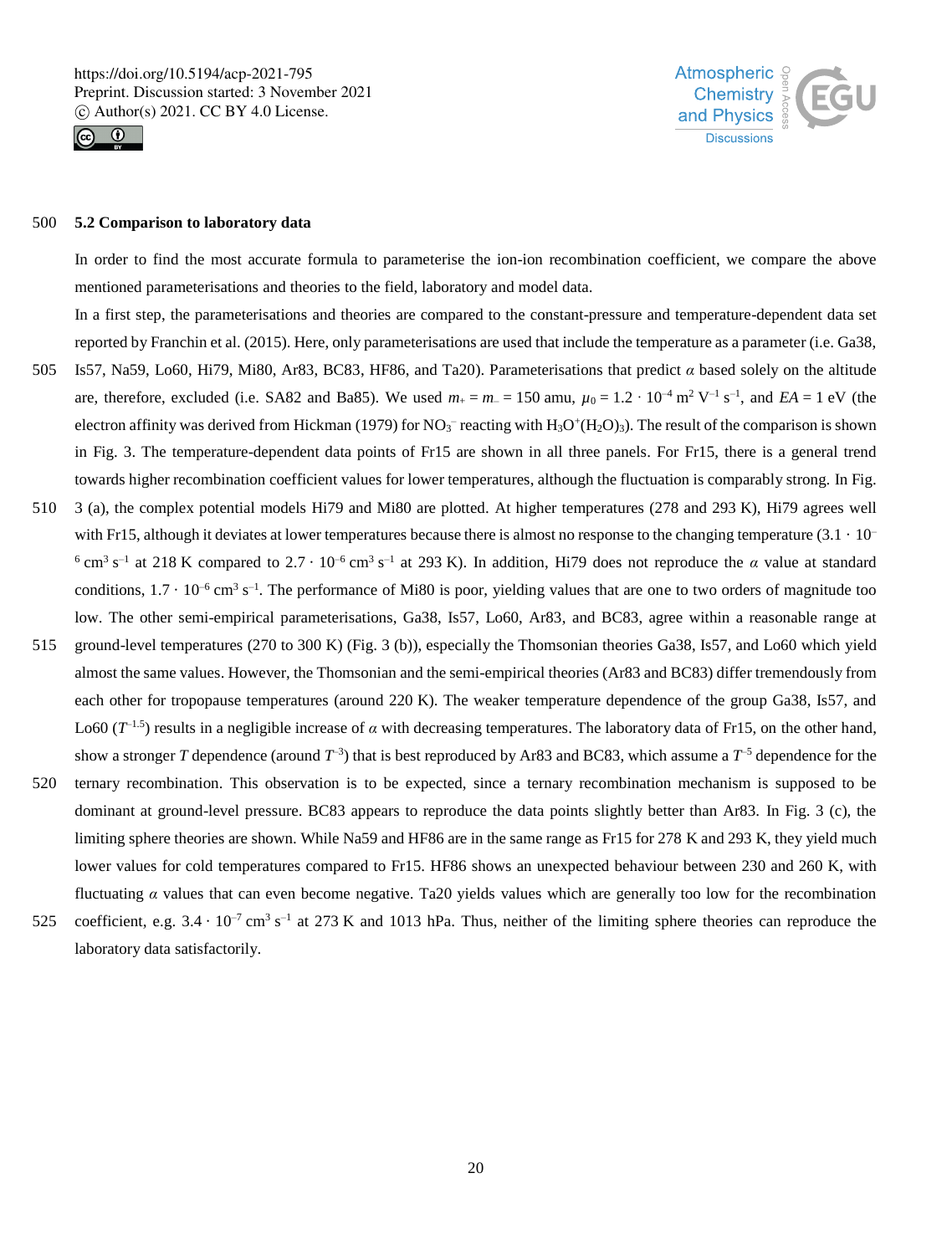



#### 500 **5.2 Comparison to laboratory data**

In order to find the most accurate formula to parameterise the ion-ion recombination coefficient, we compare the above mentioned parameterisations and theories to the field, laboratory and model data.

In a first step, the parameterisations and theories are compared to the constant-pressure and temperature-dependent data set reported by Franchin et al. (2015). Here, only parameterisations are used that include the temperature as a parameter (i.e. Ga38,

- 505 Is57, Na59, Lo60, Hi79, Mi80, Ar83, BC83, HF86, and Ta20). Parameterisations that predict *α* based solely on the altitude are, therefore, excluded (i.e. SA82 and Ba85). We used  $m_+ = m_- = 150$  amu,  $\mu_0 = 1.2 \cdot 10^{-4}$  m<sup>2</sup> V<sup>-1</sup> s<sup>-1</sup>, and *EA* = 1 eV (the electron affinity was derived from Hickman (1979) for  $NO_3^-$  reacting with  $H_3O^+(H_2O)_3$ ). The result of the comparison is shown in Fig. 3. The temperature-dependent data points of Fr15 are shown in all three panels. For Fr15, there is a general trend towards higher recombination coefficient values for lower temperatures, although the fluctuation is comparably strong. In Fig.
- 510 3 (a), the complex potential models Hi79 and Mi80 are plotted. At higher temperatures (278 and 293 K), Hi79 agrees well with Fr15, although it deviates at lower temperatures because there is almost no response to the changing temperature  $(3.1 \cdot 10^{-1})$ <sup>6</sup> cm<sup>3</sup> s<sup>-1</sup> at 218 K compared to 2.7 · 10<sup>-6</sup> cm<sup>3</sup> s<sup>-1</sup> at 293 K). In addition, Hi79 does not reproduce the *α* value at standard conditions,  $1.7 \cdot 10^{-6}$  cm<sup>3</sup> s<sup>-1</sup>. The performance of Mi80 is poor, yielding values that are one to two orders of magnitude too low. The other semi-empirical parameterisations, Ga38, Is57, Lo60, Ar83, and BC83, agree within a reasonable range at
- 515 ground-level temperatures (270 to 300 K) (Fig. 3 (b)), especially the Thomsonian theories Ga38, Is57, and Lo60 which yield almost the same values. However, the Thomsonian and the semi-empirical theories (Ar83 and BC83) differ tremendously from each other for tropopause temperatures (around 220 K). The weaker temperature dependence of the group Ga38, Is57, and Lo60 ( $T^{-1.5}$ ) results in a negligible increase of *α* with decreasing temperatures. The laboratory data of Fr15, on the other hand, show a stronger *T* dependence (around  $T^{-3}$ ) that is best reproduced by Ar83 and BC83, which assume a  $T^{-5}$  dependence for the
- 520 ternary recombination. This observation is to be expected, since a ternary recombination mechanism is supposed to be dominant at ground-level pressure. BC83 appears to reproduce the data points slightly better than Ar83. In Fig. 3 (c), the limiting sphere theories are shown. While Na59 and HF86 are in the same range as Fr15 for 278 K and 293 K, they yield much lower values for cold temperatures compared to Fr15. HF86 shows an unexpected behaviour between 230 and 260 K, with fluctuating *α* values that can even become negative. Ta20 yields values which are generally too low for the recombination
- 525 coefficient, e.g.  $3.4 \cdot 10^{-7}$  cm<sup>3</sup> s<sup>-1</sup> at 273 K and 1013 hPa. Thus, neither of the limiting sphere theories can reproduce the laboratory data satisfactorily.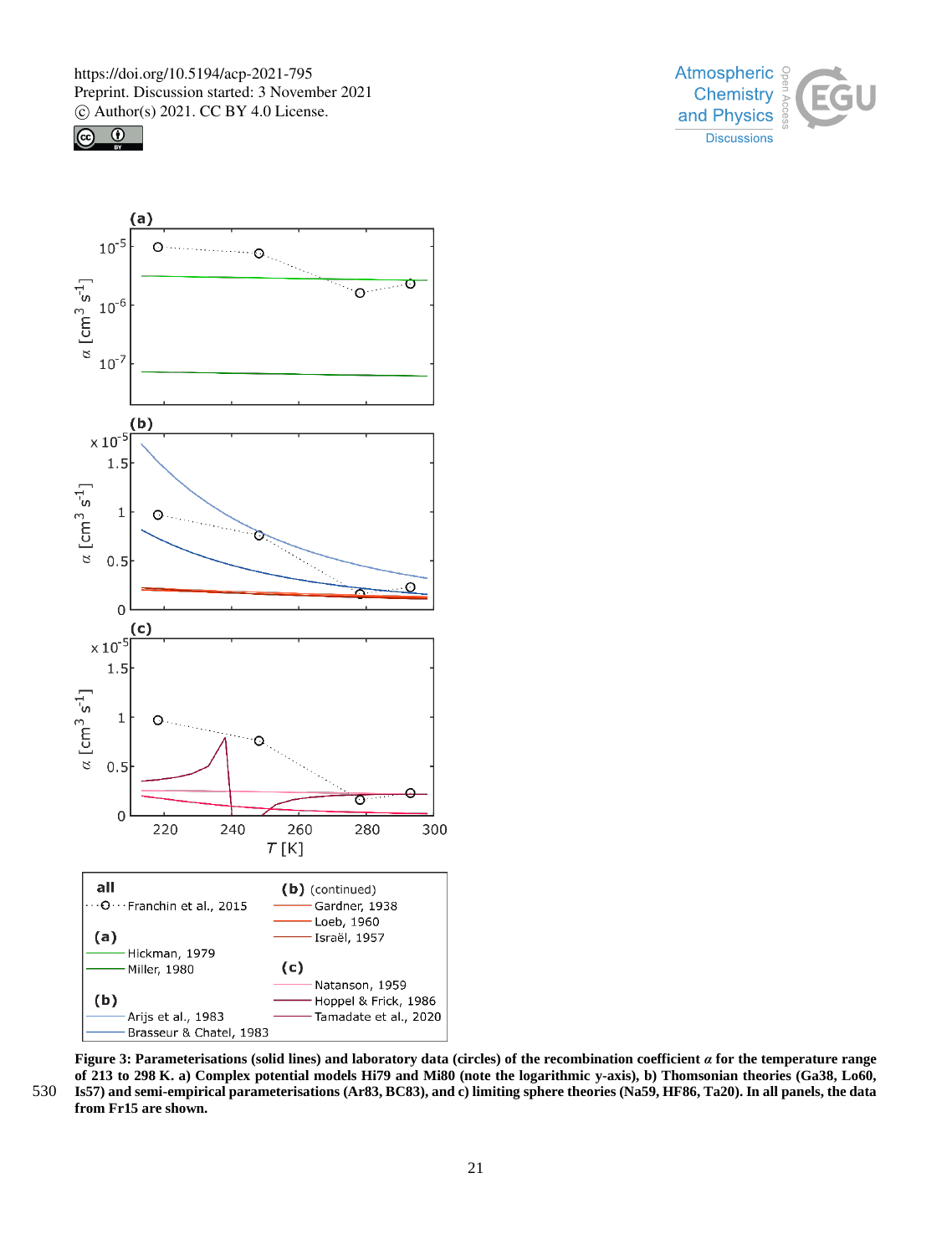





**Figure 3: Parameterisations (solid lines) and laboratory data (circles) of the recombination coefficient** *α* **for the temperature range of 213 to 298 K. a) Complex potential models Hi79 and Mi80 (note the logarithmic y-axis), b) Thomsonian theories (Ga38, Lo60,**  530 **Is57) and semi-empirical parameterisations (Ar83, BC83), and c) limiting sphere theories (Na59, HF86, Ta20). In all panels, the data from Fr15 are shown.**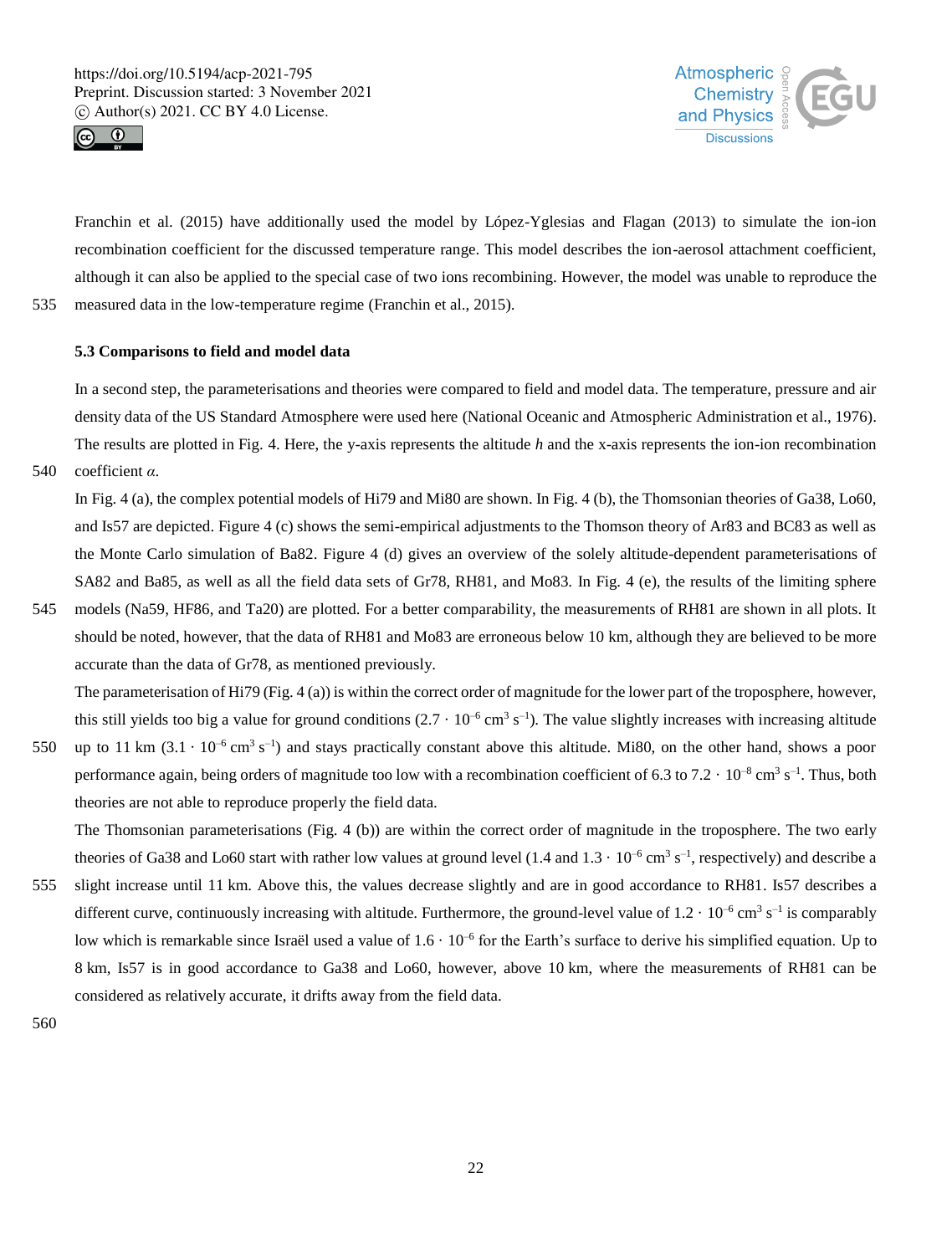



Franchin et al. (2015) have additionally used the model by López-Yglesias and Flagan (2013) to simulate the ion-ion recombination coefficient for the discussed temperature range. This model describes the ion-aerosol attachment coefficient, although it can also be applied to the special case of two ions recombining. However, the model was unable to reproduce the 535 measured data in the low-temperature regime (Franchin et al., 2015).

### **5.3 Comparisons to field and model data**

In a second step, the parameterisations and theories were compared to field and model data. The temperature, pressure and air density data of the US Standard Atmosphere were used here (National Oceanic and Atmospheric Administration et al., 1976). The results are plotted in Fig. 4. Here, the y-axis represents the altitude *h* and the x-axis represents the ion-ion recombination

540 coefficient *α*.

In Fig. 4 (a), the complex potential models of Hi79 and Mi80 are shown. In Fig. 4 (b), the Thomsonian theories of Ga38, Lo60, and Is57 are depicted. Figure 4 (c) shows the semi-empirical adjustments to the Thomson theory of Ar83 and BC83 as well as the Monte Carlo simulation of Ba82. Figure 4 (d) gives an overview of the solely altitude-dependent parameterisations of SA82 and Ba85, as well as all the field data sets of Gr78, RH81, and Mo83. In Fig. 4 (e), the results of the limiting sphere

545 models (Na59, HF86, and Ta20) are plotted. For a better comparability, the measurements of RH81 are shown in all plots. It should be noted, however, that the data of RH81 and Mo83 are erroneous below 10 km, although they are believed to be more accurate than the data of Gr78, as mentioned previously.

The parameterisation of Hi79 (Fig. 4 (a)) is within the correct order of magnitude for the lower part of the troposphere, however, this still yields too big a value for ground conditions  $(2.7 \cdot 10^{-6} \text{ cm}^3 \text{ s}^{-1})$ . The value slightly increases with increasing altitude

550 up to 11 km  $(3.1 \cdot 10^{-6} \text{ cm}^3 \text{ s}^{-1})$  and stays practically constant above this altitude. Mi80, on the other hand, shows a poor performance again, being orders of magnitude too low with a recombination coefficient of 6.3 to 7.2  $\cdot$  10<sup>-8</sup> cm<sup>3</sup> s<sup>-1</sup>. Thus, both theories are not able to reproduce properly the field data.

The Thomsonian parameterisations (Fig. 4 (b)) are within the correct order of magnitude in the troposphere. The two early theories of Ga38 and Lo60 start with rather low values at ground level  $(1.4$  and  $1.3 \cdot 10^{-6}$  cm<sup>3</sup> s<sup>-1</sup>, respectively) and describe a

555 slight increase until 11 km. Above this, the values decrease slightly and are in good accordance to RH81. Is57 describes a different curve, continuously increasing with altitude. Furthermore, the ground-level value of  $1.2 \cdot 10^{-6}$  cm<sup>3</sup> s<sup>-1</sup> is comparably low which is remarkable since Israël used a value of  $1.6 \cdot 10^{-6}$  for the Earth's surface to derive his simplified equation. Up to 8 km, Is57 is in good accordance to Ga38 and Lo60, however, above 10 km, where the measurements of RH81 can be considered as relatively accurate, it drifts away from the field data.

560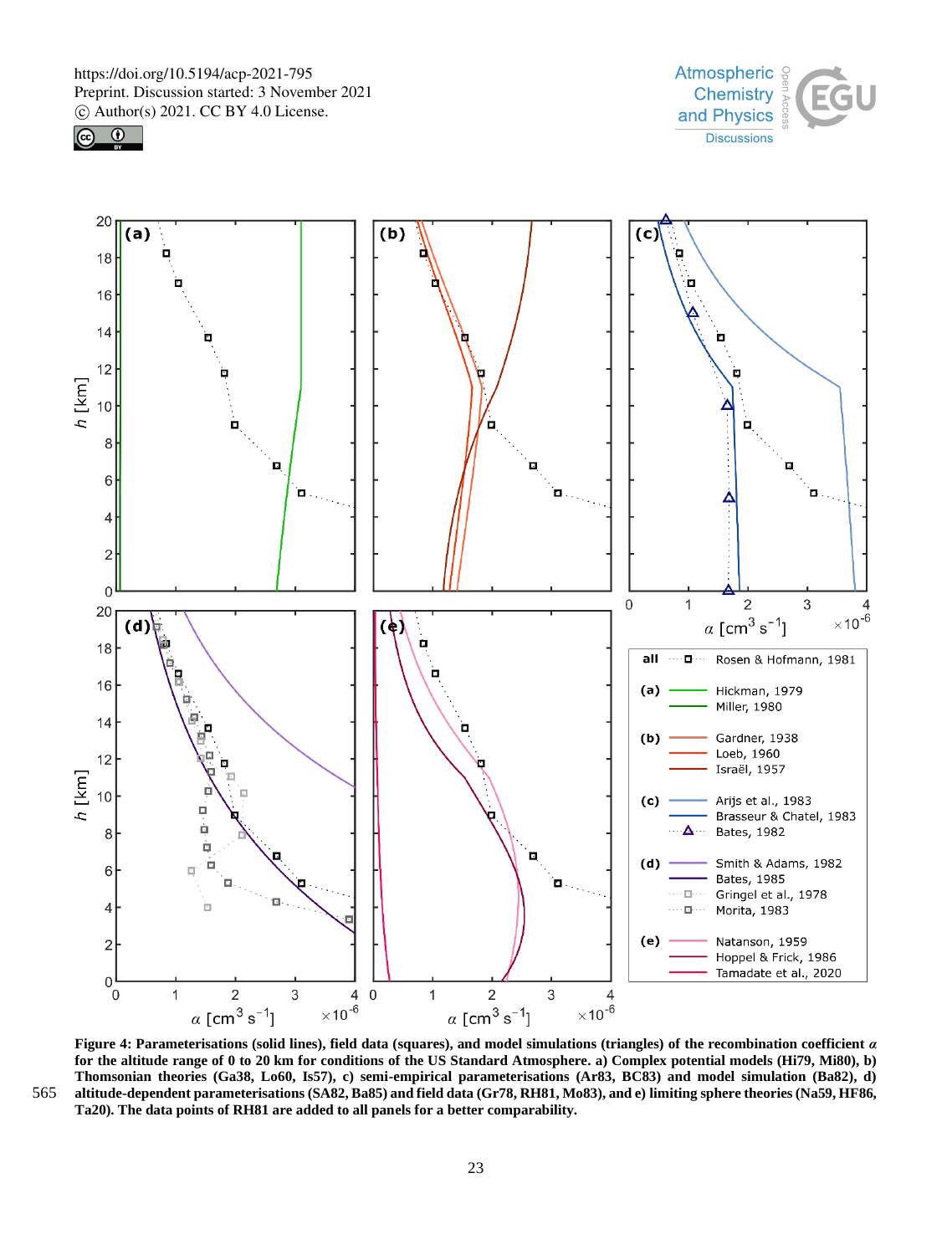





**Figure 4: Parameterisations (solid lines), field data (squares), and model simulations (triangles) of the recombination coefficient** *α* **for the altitude range of 0 to 20 km for conditions of the US Standard Atmosphere. a) Complex potential models (Hi79, Mi80), b) Thomsonian theories (Ga38, Lo60, Is57), c) semi-empirical parameterisations (Ar83, BC83) and model simulation (Ba82), d)**  565 **altitude-dependent parameterisations (SA82, Ba85) and field data (Gr78, RH81, Mo83), and e) limiting sphere theories (Na59, HF86, Ta20). The data points of RH81 are added to all panels for a better comparability.**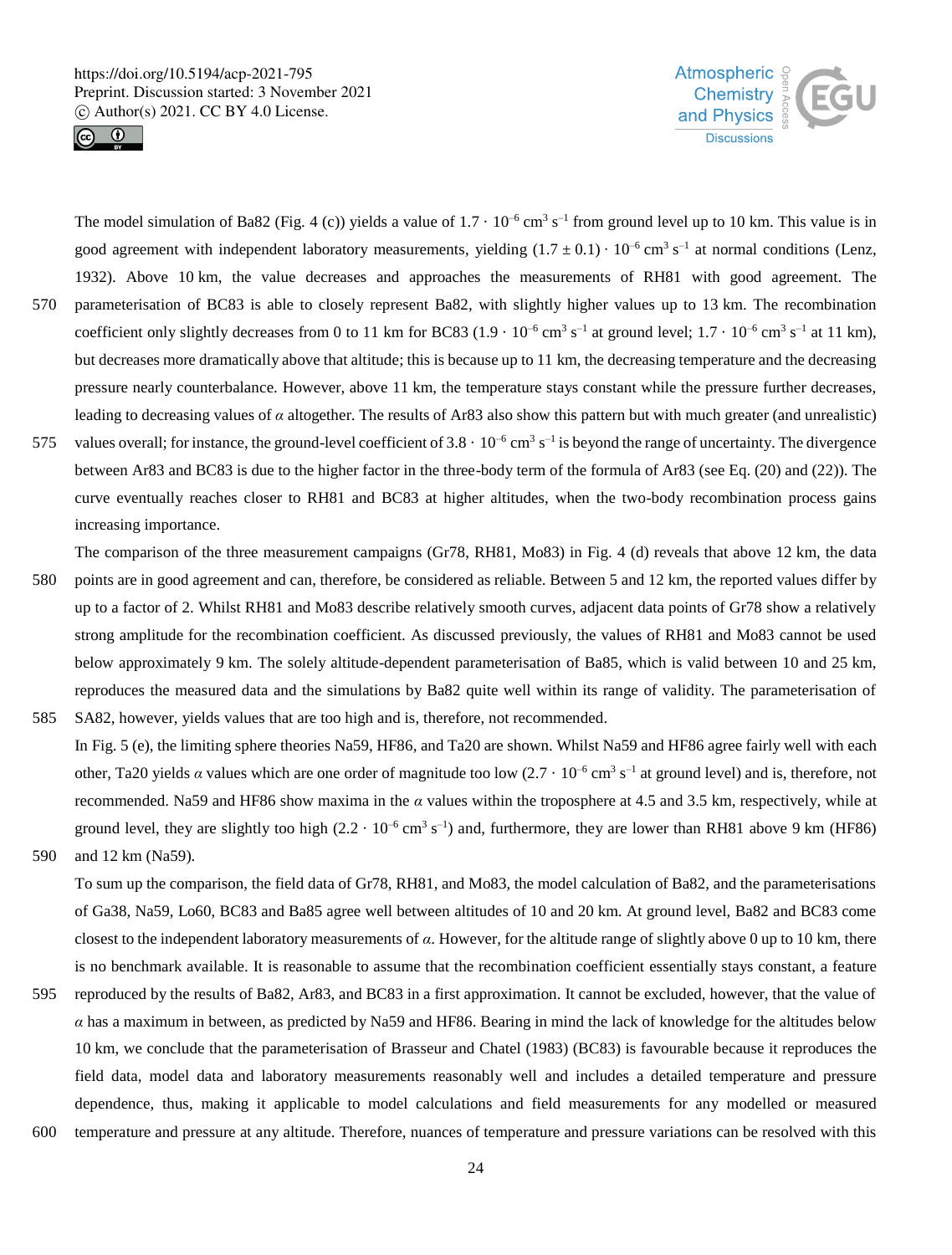



The model simulation of Ba82 (Fig. 4 (c)) yields a value of  $1.7 \cdot 10^{-6}$  cm<sup>3</sup> s<sup>-1</sup> from ground level up to 10 km. This value is in good agreement with independent laboratory measurements, yielding  $(1.7 \pm 0.1) \cdot 10^{-6}$  cm<sup>3</sup> s<sup>-1</sup> at normal conditions (Lenz, 1932). Above 10 km, the value decreases and approaches the measurements of RH81 with good agreement. The 570 parameterisation of BC83 is able to closely represent Ba82, with slightly higher values up to 13 km. The recombination coefficient only slightly decreases from 0 to 11 km for BC83  $(1.9 \cdot 10^{-6} \text{ cm}^3 \text{ s}^{-1})$  at ground level;  $1.7 \cdot 10^{-6} \text{ cm}^3 \text{ s}^{-1}$  at 11 km), but decreases more dramatically above that altitude; this is because up to 11 km, the decreasing temperature and the decreasing pressure nearly counterbalance. However, above 11 km, the temperature stays constant while the pressure further decreases, leading to decreasing values of *α* altogether. The results of Ar83 also show this pattern but with much greater (and unrealistic) 575 values overall; for instance, the ground-level coefficient of  $3.8 \cdot 10^{-6}$  cm<sup>3</sup> s<sup>-1</sup> is beyond the range of uncertainty. The divergence between Ar83 and BC83 is due to the higher factor in the three-body term of the formula of Ar83 (see Eq. (20) and (22)). The

curve eventually reaches closer to RH81 and BC83 at higher altitudes, when the two-body recombination process gains increasing importance.

The comparison of the three measurement campaigns (Gr78, RH81, Mo83) in Fig. 4 (d) reveals that above 12 km, the data

- 580 points are in good agreement and can, therefore, be considered as reliable. Between 5 and 12 km, the reported values differ by up to a factor of 2. Whilst RH81 and Mo83 describe relatively smooth curves, adjacent data points of Gr78 show a relatively strong amplitude for the recombination coefficient. As discussed previously, the values of RH81 and Mo83 cannot be used below approximately 9 km. The solely altitude-dependent parameterisation of Ba85, which is valid between 10 and 25 km, reproduces the measured data and the simulations by Ba82 quite well within its range of validity. The parameterisation of 585 SA82, however, yields values that are too high and is, therefore, not recommended.
- In Fig. 5 (e), the limiting sphere theories Na59, HF86, and Ta20 are shown. Whilst Na59 and HF86 agree fairly well with each other, Ta20 yields *a* values which are one order of magnitude too low  $(2.7 \cdot 10^{-6} \text{ cm}^3 \text{ s}^{-1})$  at ground level) and is, therefore, not recommended. Na59 and HF86 show maxima in the *α* values within the troposphere at 4.5 and 3.5 km, respectively, while at ground level, they are slightly too high  $(2.2 \cdot 10^{-6} \text{ cm}^3 \text{ s}^{-1})$  and, furthermore, they are lower than RH81 above 9 km (HF86)
- 590 and 12 km (Na59).

To sum up the comparison, the field data of Gr78, RH81, and Mo83, the model calculation of Ba82, and the parameterisations of Ga38, Na59, Lo60, BC83 and Ba85 agree well between altitudes of 10 and 20 km. At ground level, Ba82 and BC83 come closest to the independent laboratory measurements of *α*. However, for the altitude range of slightly above 0 up to 10 km, there is no benchmark available. It is reasonable to assume that the recombination coefficient essentially stays constant, a feature

- 595 reproduced by the results of Ba82, Ar83, and BC83 in a first approximation. It cannot be excluded, however, that the value of *α* has a maximum in between, as predicted by Na59 and HF86. Bearing in mind the lack of knowledge for the altitudes below 10 km, we conclude that the parameterisation of Brasseur and Chatel (1983) (BC83) is favourable because it reproduces the field data, model data and laboratory measurements reasonably well and includes a detailed temperature and pressure dependence, thus, making it applicable to model calculations and field measurements for any modelled or measured
- 600 temperature and pressure at any altitude. Therefore, nuances of temperature and pressure variations can be resolved with this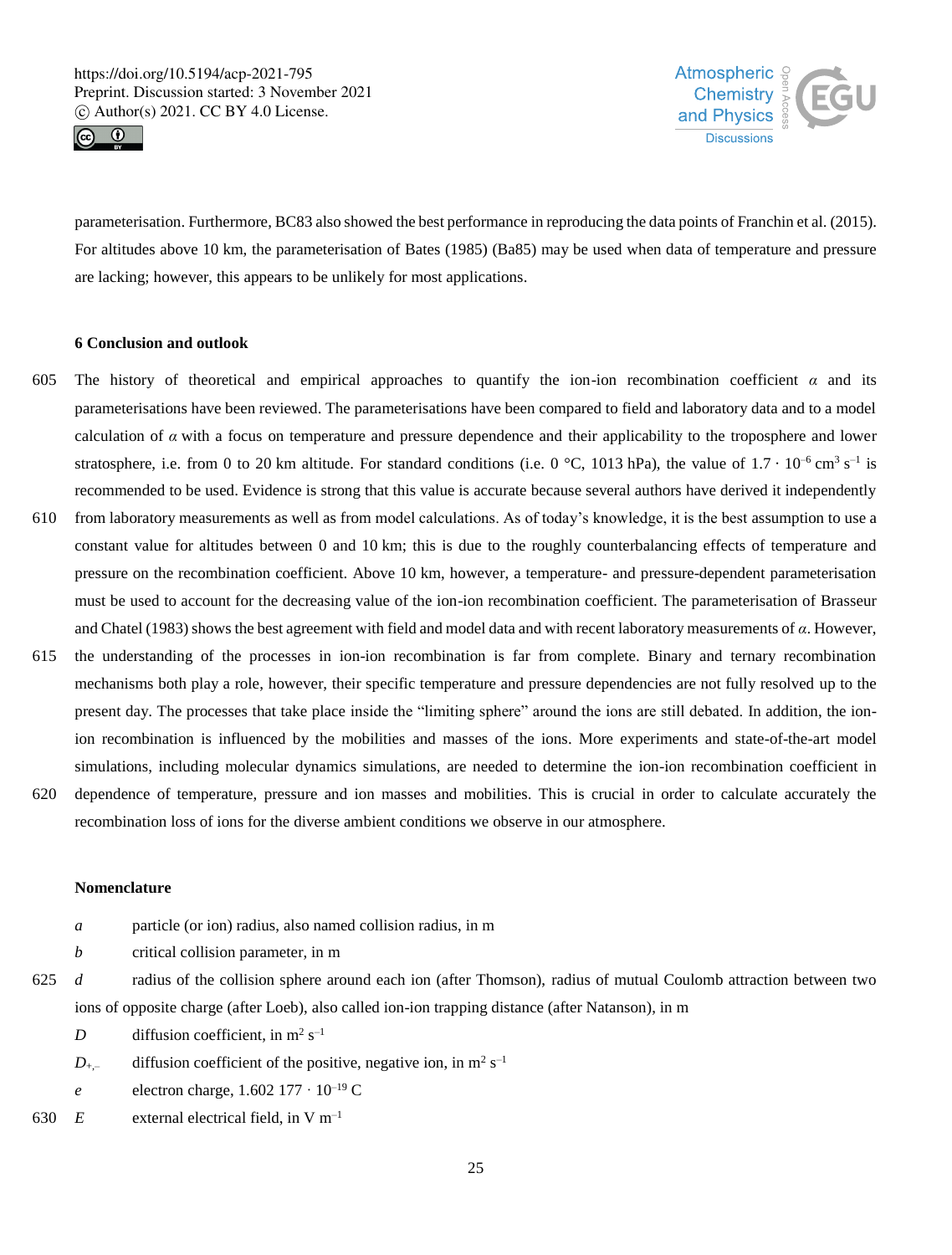



parameterisation. Furthermore, BC83 also showed the best performance in reproducing the data points of Franchin et al. (2015). For altitudes above 10 km, the parameterisation of Bates (1985) (Ba85) may be used when data of temperature and pressure are lacking; however, this appears to be unlikely for most applications.

# **6 Conclusion and outlook**

- 605 The history of theoretical and empirical approaches to quantify the ion-ion recombination coefficient *α* and its parameterisations have been reviewed. The parameterisations have been compared to field and laboratory data and to a model calculation of  $\alpha$  with a focus on temperature and pressure dependence and their applicability to the troposphere and lower stratosphere, i.e. from 0 to 20 km altitude. For standard conditions (i.e. 0 °C, 1013 hPa), the value of  $1.7 \cdot 10^{-6}$  cm<sup>3</sup> s<sup>-1</sup> is recommended to be used. Evidence is strong that this value is accurate because several authors have derived it independently
- 610 from laboratory measurements as well as from model calculations. As of today's knowledge, it is the best assumption to use a constant value for altitudes between 0 and 10 km; this is due to the roughly counterbalancing effects of temperature and pressure on the recombination coefficient. Above 10 km, however, a temperature- and pressure-dependent parameterisation must be used to account for the decreasing value of the ion-ion recombination coefficient. The parameterisation of Brasseur and Chatel (1983) shows the best agreement with field and model data and with recent laboratory measurements of *α*. However,
- 615 the understanding of the processes in ion-ion recombination is far from complete. Binary and ternary recombination mechanisms both play a role, however, their specific temperature and pressure dependencies are not fully resolved up to the present day. The processes that take place inside the "limiting sphere" around the ions are still debated. In addition, the ionion recombination is influenced by the mobilities and masses of the ions. More experiments and state-of-the-art model simulations, including molecular dynamics simulations, are needed to determine the ion-ion recombination coefficient in
- 620 dependence of temperature, pressure and ion masses and mobilities. This is crucial in order to calculate accurately the recombination loss of ions for the diverse ambient conditions we observe in our atmosphere.

### **Nomenclature**

- *a* particle (or ion) radius, also named collision radius, in m
- *b* critical collision parameter, in m
- 625 *d* radius of the collision sphere around each ion (after Thomson), radius of mutual Coulomb attraction between two ions of opposite charge (after Loeb), also called ion-ion trapping distance (after Natanson), in m
	- *D* diffusion coefficient, in  $m^2 s^{-1}$
	- $D_{+,-}$  diffusion coefficient of the positive, negative ion, in m<sup>2</sup> s<sup>-1</sup>
	- *e* electron charge,  $1.602\,177 \cdot 10^{-19}$  C
- 630  $E$  external electrical field, in V m<sup>-1</sup>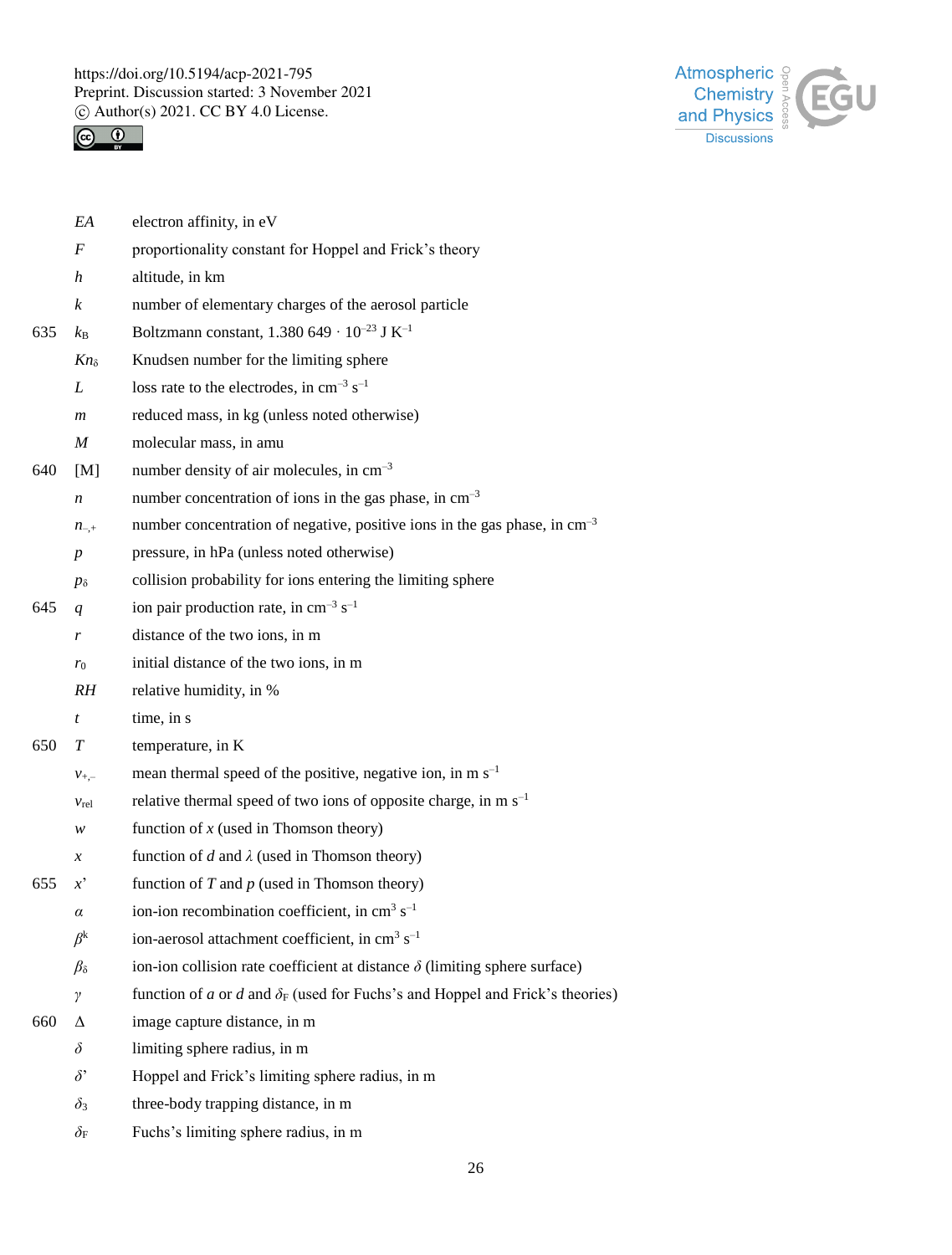



|     | EA               | electron affinity, in eV                                                             |
|-----|------------------|--------------------------------------------------------------------------------------|
|     | $\boldsymbol{F}$ | proportionality constant for Hoppel and Frick's theory                               |
|     | h                | altitude, in km                                                                      |
|     | $\boldsymbol{k}$ | number of elementary charges of the aerosol particle                                 |
| 635 | $k_{\rm B}$      | Boltzmann constant, 1.380 649 · $10^{-23}$ J K <sup>-1</sup>                         |
|     | $Kn_{\delta}$    | Knudsen number for the limiting sphere                                               |
|     | L                | loss rate to the electrodes, in $cm^{-3}$ s <sup>-1</sup>                            |
|     | $\boldsymbol{m}$ | reduced mass, in kg (unless noted otherwise)                                         |
|     | $\boldsymbol{M}$ | molecular mass, in amu                                                               |
| 640 | [M]              | number density of air molecules, in cm <sup>-3</sup>                                 |
|     | n                | number concentration of ions in the gas phase, in $cm^{-3}$                          |
|     | $n_{-,+}$        | number concentration of negative, positive ions in the gas phase, in $cm^{-3}$       |
|     | $\boldsymbol{p}$ | pressure, in hPa (unless noted otherwise)                                            |
|     | $p_{\delta}$     | collision probability for ions entering the limiting sphere                          |
| 645 | q                | ion pair production rate, in cm <sup>-3</sup> s <sup>-1</sup>                        |
|     | r                | distance of the two ions, in m                                                       |
|     | $r_0$            | initial distance of the two ions, in m                                               |
|     | RH               | relative humidity, in %                                                              |
|     | $\boldsymbol{t}$ | time, in s                                                                           |
| 650 | T                | temperature, in K                                                                    |
|     | $v_{+,-}$        | mean thermal speed of the positive, negative ion, in $m s^{-1}$                      |
|     | $v_{rel}$        | relative thermal speed of two ions of opposite charge, in m $s^{-1}$                 |
|     | w                | function of $x$ (used in Thomson theory)                                             |
|     | $\mathcal{X}$    | function of d and $\lambda$ (used in Thomson theory)                                 |
| 655 | $x^{\prime}$     | function of $T$ and $p$ (used in Thomson theory)                                     |
|     | $\alpha$         | ion-ion recombination coefficient, in cm <sup>3</sup> s <sup>-1</sup>                |
|     | $\beta^{\rm k}$  | ion-aerosol attachment coefficient, in cm <sup>3</sup> s <sup>-1</sup>               |
|     | $\beta_{\delta}$ | ion-ion collision rate coefficient at distance $\delta$ (limiting sphere surface)    |
|     | γ                | function of a or d and $\delta_F$ (used for Fuchs's and Hoppel and Frick's theories) |
| 660 | Δ                | image capture distance, in m                                                         |
|     | $\delta$         | limiting sphere radius, in m                                                         |
|     | $\delta$ '       | Hoppel and Frick's limiting sphere radius, in m                                      |
|     | $\delta_3$       | three-body trapping distance, in m                                                   |
|     | $\delta_{\rm F}$ | Fuchs's limiting sphere radius, in m                                                 |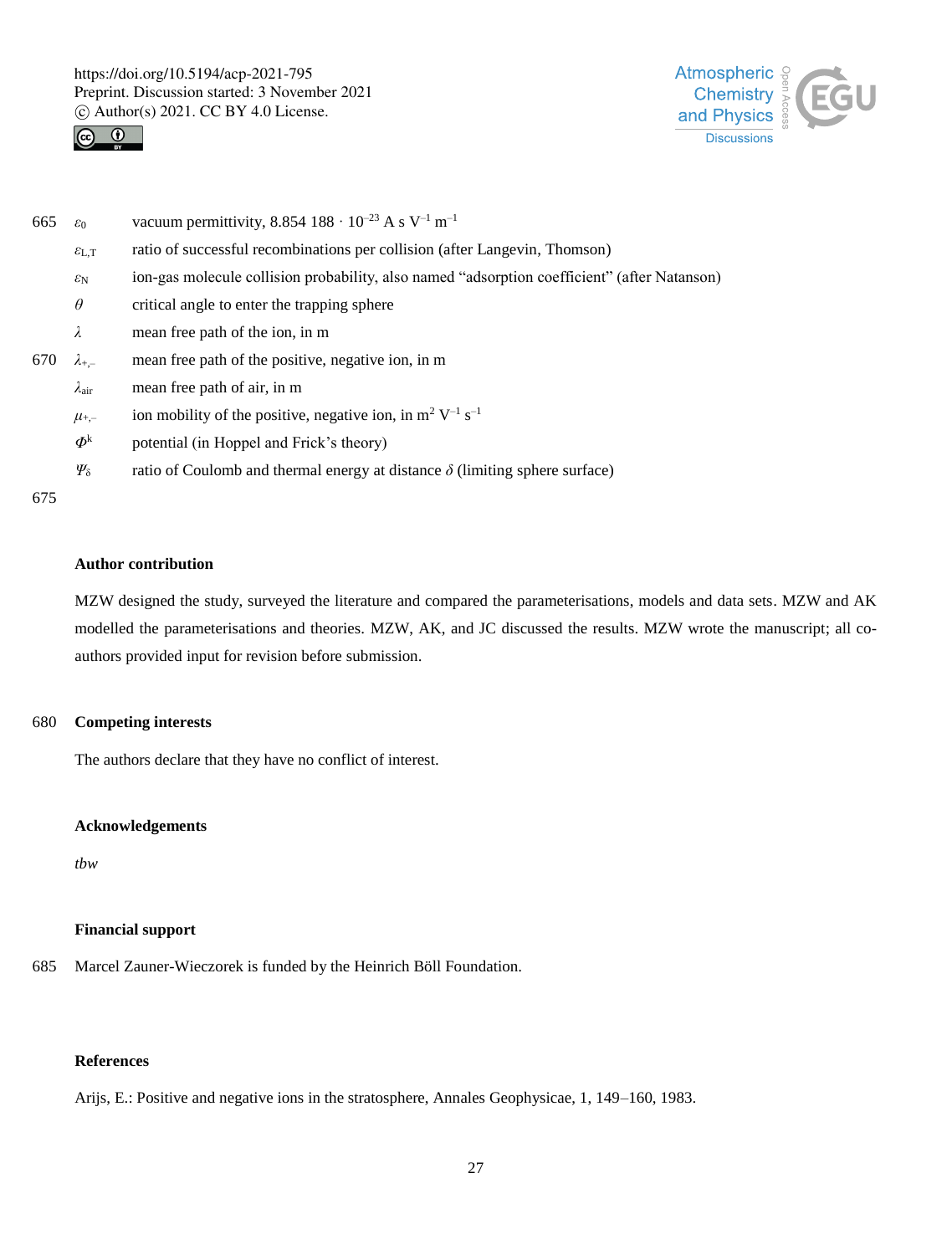



| 665 | $\varepsilon_0$                | vacuum permittivity, 8.854 188 · $10^{-23}$ A s V <sup>-1</sup> m <sup>-1</sup>              |
|-----|--------------------------------|----------------------------------------------------------------------------------------------|
|     | $\mathcal{E}_{L,T}$            | ratio of successful recombinations per collision (after Langevin, Thomson)                   |
|     | $\varepsilon_{\rm N}$          | ion-gas molecule collision probability, also named "adsorption coefficient" (after Natanson) |
|     | $\theta$                       | critical angle to enter the trapping sphere                                                  |
|     | λ                              | mean free path of the ion, in m                                                              |
| 670 | $\lambda_{+,-}$                | mean free path of the positive, negative ion, in m                                           |
|     | $\lambda_{\rm air}$            | mean free path of air, in m                                                                  |
|     | $\mu_{+,-}$                    | ion mobility of the positive, negative ion, in $m^2 V^{-1} s^{-1}$                           |
|     | $\boldsymbol{\Phi}^\mathrm{k}$ | potential (in Hoppel and Frick's theory)                                                     |
|     | $\Psi_{\delta}$                | ratio of Coulomb and thermal energy at distance $\delta$ (limiting sphere surface)           |
| 675 |                                |                                                                                              |

## **Author contribution**

MZW designed the study, surveyed the literature and compared the parameterisations, models and data sets. MZW and AK modelled the parameterisations and theories. MZW, AK, and JC discussed the results. MZW wrote the manuscript; all coauthors provided input for revision before submission.

## 680 **Competing interests**

The authors declare that they have no conflict of interest.

### **Acknowledgements**

*tbw*

# **Financial support**

685 Marcel Zauner-Wieczorek is funded by the Heinrich Böll Foundation.

# **References**

Arijs, E.: Positive and negative ions in the stratosphere, Annales Geophysicae, 1, 149–160, 1983.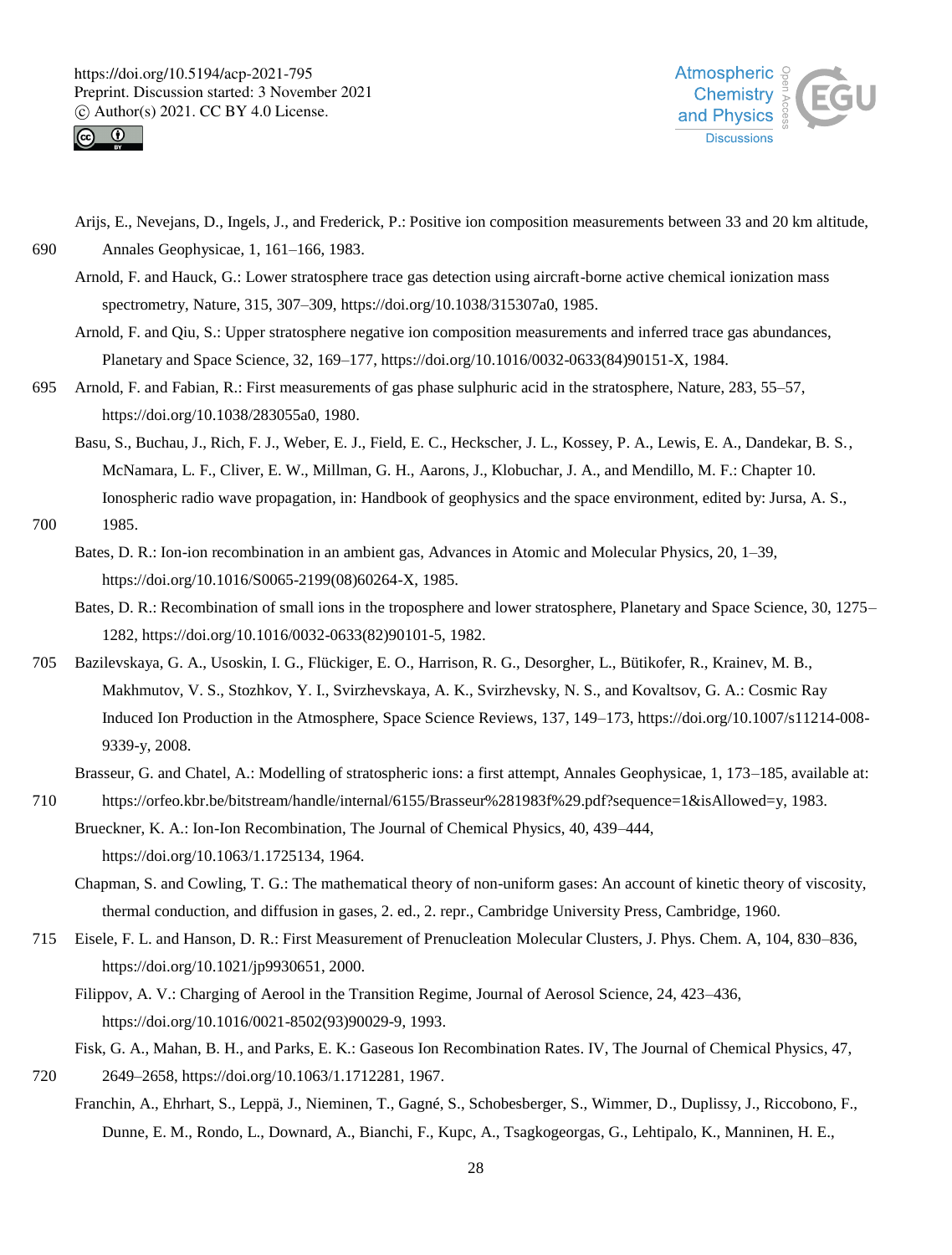



Arijs, E., Nevejans, D., Ingels, J., and Frederick, P.: Positive ion composition measurements between 33 and 20 km altitude, 690 Annales Geophysicae, 1, 161–166, 1983.

- Arnold, F. and Hauck, G.: Lower stratosphere trace gas detection using aircraft-borne active chemical ionization mass spectrometry, Nature, 315, 307–309, https://doi.org/10.1038/315307a0, 1985.
- Arnold, F. and Qiu, S.: Upper stratosphere negative ion composition measurements and inferred trace gas abundances, Planetary and Space Science, 32, 169–177, https://doi.org/10.1016/0032-0633(84)90151-X, 1984.
- 695 Arnold, F. and Fabian, R.: First measurements of gas phase sulphuric acid in the stratosphere, Nature, 283, 55–57, https://doi.org/10.1038/283055a0, 1980.
	- Basu, S., Buchau, J., Rich, F. J., Weber, E. J., Field, E. C., Heckscher, J. L., Kossey, P. A., Lewis, E. A., Dandekar, B. S., McNamara, L. F., Cliver, E. W., Millman, G. H., Aarons, J., Klobuchar, J. A., and Mendillo, M. F.: Chapter 10. Ionospheric radio wave propagation, in: Handbook of geophysics and the space environment, edited by: Jursa, A. S.,
- 700 1985.
	- Bates, D. R.: Ion-ion recombination in an ambient gas, Advances in Atomic and Molecular Physics, 20, 1–39, https://doi.org/10.1016/S0065-2199(08)60264-X, 1985.
	- Bates, D. R.: Recombination of small ions in the troposphere and lower stratosphere, Planetary and Space Science, 30, 1275– 1282, https://doi.org/10.1016/0032-0633(82)90101-5, 1982.
- 705 Bazilevskaya, G. A., Usoskin, I. G., Flückiger, E. O., Harrison, R. G., Desorgher, L., Bütikofer, R., Krainev, M. B., Makhmutov, V. S., Stozhkov, Y. I., Svirzhevskaya, A. K., Svirzhevsky, N. S., and Kovaltsov, G. A.: Cosmic Ray Induced Ion Production in the Atmosphere, Space Science Reviews, 137, 149–173, https://doi.org/10.1007/s11214-008- 9339-y, 2008.
	- Brasseur, G. and Chatel, A.: Modelling of stratospheric ions: a first attempt, Annales Geophysicae, 1, 173–185, available at:
- 710 https://orfeo.kbr.be/bitstream/handle/internal/6155/Brasseur%281983f%29.pdf?sequence=1&isAllowed=y, 1983. Brueckner, K. A.: Ion-Ion Recombination, The Journal of Chemical Physics, 40, 439–444, https://doi.org/10.1063/1.1725134, 1964.
	- Chapman, S. and Cowling, T. G.: The mathematical theory of non-uniform gases: An account of kinetic theory of viscosity, thermal conduction, and diffusion in gases, 2. ed., 2. repr., Cambridge University Press, Cambridge, 1960.
- 715 Eisele, F. L. and Hanson, D. R.: First Measurement of Prenucleation Molecular Clusters, J. Phys. Chem. A, 104, 830–836, https://doi.org/10.1021/jp9930651, 2000.
	- Filippov, A. V.: Charging of Aerool in the Transition Regime, Journal of Aerosol Science, 24, 423–436, https://doi.org/10.1016/0021-8502(93)90029-9, 1993.
	- Fisk, G. A., Mahan, B. H., and Parks, E. K.: Gaseous Ion Recombination Rates. IV, The Journal of Chemical Physics, 47,
- 720 2649–2658, https://doi.org/10.1063/1.1712281, 1967.
	- Franchin, A., Ehrhart, S., Leppä, J., Nieminen, T., Gagné, S., Schobesberger, S., Wimmer, D., Duplissy, J., Riccobono, F., Dunne, E. M., Rondo, L., Downard, A., Bianchi, F., Kupc, A., Tsagkogeorgas, G., Lehtipalo, K., Manninen, H. E.,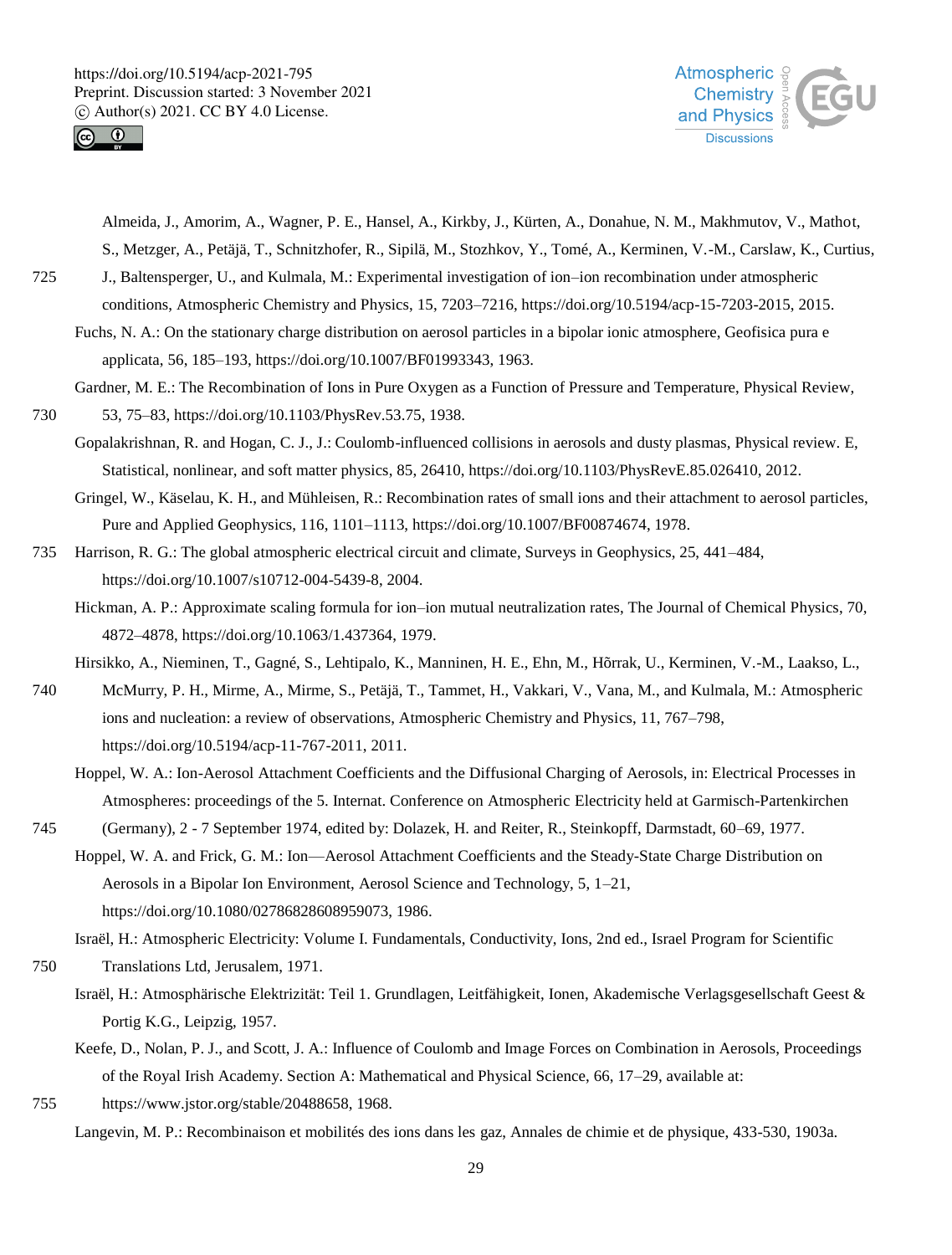



Almeida, J., Amorim, A., Wagner, P. E., Hansel, A., Kirkby, J., Kürten, A., Donahue, N. M., Makhmutov, V., Mathot, S., Metzger, A., Petäjä, T., Schnitzhofer, R., Sipilä, M., Stozhkov, Y., Tomé, A., Kerminen, V.-M., Carslaw, K., Curtius,

725 J., Baltensperger, U., and Kulmala, M.: Experimental investigation of ion–ion recombination under atmospheric conditions, Atmospheric Chemistry and Physics, 15, 7203–7216, https://doi.org/10.5194/acp-15-7203-2015, 2015.

Fuchs, N. A.: On the stationary charge distribution on aerosol particles in a bipolar ionic atmosphere, Geofisica pura e applicata, 56, 185–193, https://doi.org/10.1007/BF01993343, 1963.

Gardner, M. E.: The Recombination of Ions in Pure Oxygen as a Function of Pressure and Temperature, Physical Review, 730 53, 75–83, https://doi.org/10.1103/PhysRev.53.75, 1938.

Gopalakrishnan, R. and Hogan, C. J., J.: Coulomb-influenced collisions in aerosols and dusty plasmas, Physical review. E, Statistical, nonlinear, and soft matter physics, 85, 26410, https://doi.org/10.1103/PhysRevE.85.026410, 2012.

Gringel, W., Käselau, K. H., and Mühleisen, R.: Recombination rates of small ions and their attachment to aerosol particles, Pure and Applied Geophysics, 116, 1101–1113, https://doi.org/10.1007/BF00874674, 1978.

735 Harrison, R. G.: The global atmospheric electrical circuit and climate, Surveys in Geophysics, 25, 441–484, https://doi.org/10.1007/s10712-004-5439-8, 2004.

Hickman, A. P.: Approximate scaling formula for ion–ion mutual neutralization rates, The Journal of Chemical Physics, 70, 4872–4878, https://doi.org/10.1063/1.437364, 1979.

Hirsikko, A., Nieminen, T., Gagné, S., Lehtipalo, K., Manninen, H. E., Ehn, M., Hõrrak, U., Kerminen, V.-M., Laakso, L.,

740 McMurry, P. H., Mirme, A., Mirme, S., Petäjä, T., Tammet, H., Vakkari, V., Vana, M., and Kulmala, M.: Atmospheric ions and nucleation: a review of observations, Atmospheric Chemistry and Physics, 11, 767–798, https://doi.org/10.5194/acp-11-767-2011, 2011.

Hoppel, W. A.: Ion-Aerosol Attachment Coefficients and the Diffusional Charging of Aerosols, in: Electrical Processes in Atmospheres: proceedings of the 5. Internat. Conference on Atmospheric Electricity held at Garmisch-Partenkirchen

745 (Germany), 2 - 7 September 1974, edited by: Dolazek, H. and Reiter, R., Steinkopff, Darmstadt, 60–69, 1977.

Hoppel, W. A. and Frick, G. M.: Ion—Aerosol Attachment Coefficients and the Steady-State Charge Distribution on Aerosols in a Bipolar Ion Environment, Aerosol Science and Technology, 5, 1–21, https://doi.org/10.1080/02786828608959073, 1986.

Israël, H.: Atmospheric Electricity: Volume I. Fundamentals, Conductivity, Ions, 2nd ed., Israel Program for Scientific

750 Translations Ltd, Jerusalem, 1971.

Israël, H.: Atmosphärische Elektrizität: Teil 1. Grundlagen, Leitfähigkeit, Ionen, Akademische Verlagsgesellschaft Geest & Portig K.G., Leipzig, 1957.

Keefe, D., Nolan, P. J., and Scott, J. A.: Influence of Coulomb and Image Forces on Combination in Aerosols, Proceedings of the Royal Irish Academy. Section A: Mathematical and Physical Science, 66, 17–29, available at:

755 https://www.jstor.org/stable/20488658, 1968.

Langevin, M. P.: Recombinaison et mobilités des ions dans les gaz, Annales de chimie et de physique, 433-530, 1903a.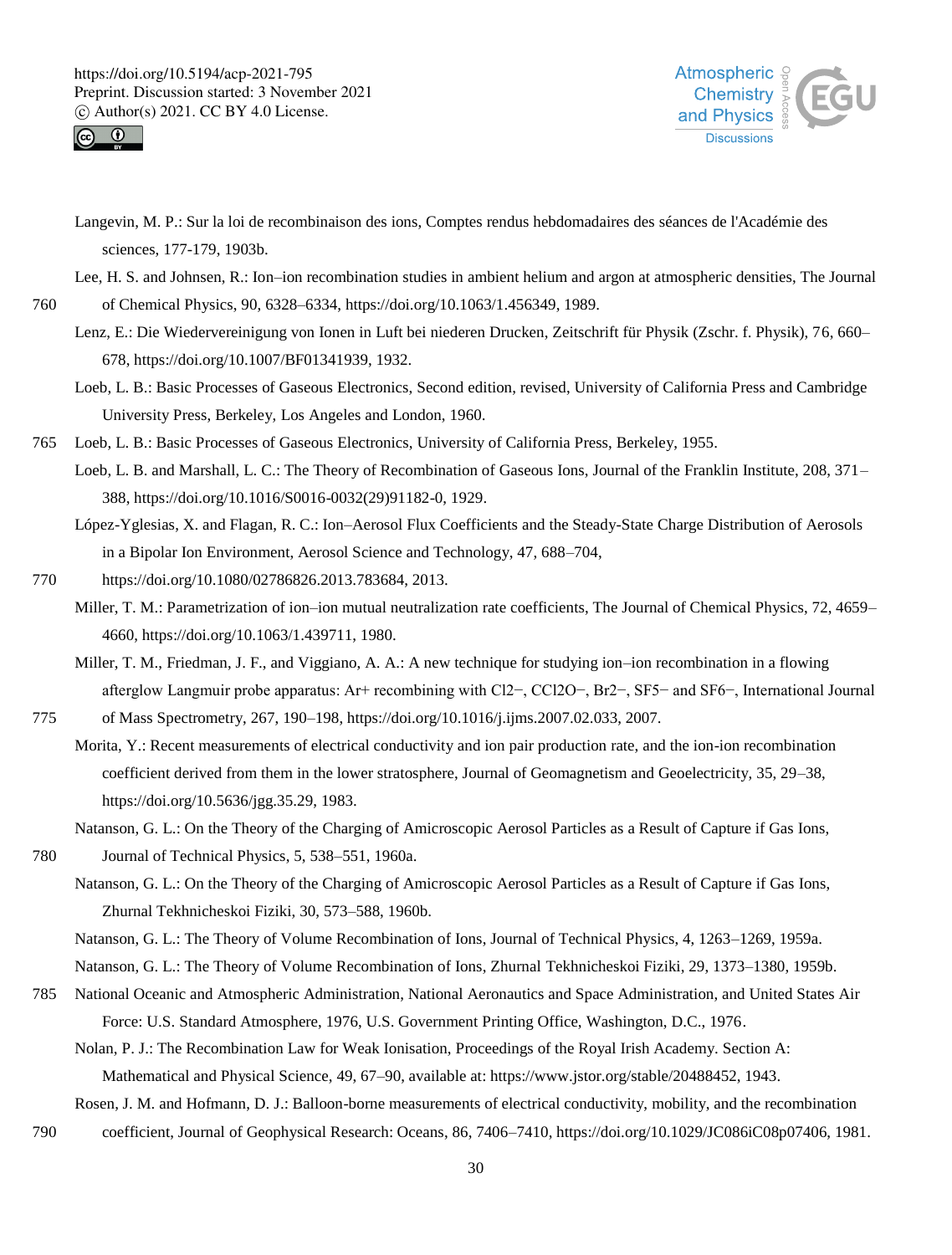



Langevin, M. P.: Sur la loi de recombinaison des ions, Comptes rendus hebdomadaires des séances de l'Académie des sciences, 177-179, 1903b.

Lee, H. S. and Johnsen, R.: Ion–ion recombination studies in ambient helium and argon at atmospheric densities, The Journal

760 of Chemical Physics, 90, 6328–6334, https://doi.org/10.1063/1.456349, 1989.

- Lenz, E.: Die Wiedervereinigung von Ionen in Luft bei niederen Drucken, Zeitschrift für Physik (Zschr. f. Physik), 76, 660– 678, https://doi.org/10.1007/BF01341939, 1932.
- Loeb, L. B.: Basic Processes of Gaseous Electronics, Second edition, revised, University of California Press and Cambridge University Press, Berkeley, Los Angeles and London, 1960.
- 765 Loeb, L. B.: Basic Processes of Gaseous Electronics, University of California Press, Berkeley, 1955.
	- Loeb, L. B. and Marshall, L. C.: The Theory of Recombination of Gaseous Ions, Journal of the Franklin Institute, 208, 371– 388, https://doi.org/10.1016/S0016-0032(29)91182-0, 1929.
	- López-Yglesias, X. and Flagan, R. C.: Ion–Aerosol Flux Coefficients and the Steady-State Charge Distribution of Aerosols in a Bipolar Ion Environment, Aerosol Science and Technology, 47, 688–704,
- 770 https://doi.org/10.1080/02786826.2013.783684, 2013.
	- Miller, T. M.: Parametrization of ion–ion mutual neutralization rate coefficients, The Journal of Chemical Physics, 72, 4659– 4660, https://doi.org/10.1063/1.439711, 1980.
	- Miller, T. M., Friedman, J. F., and Viggiano, A. A.: A new technique for studying ion–ion recombination in a flowing afterglow Langmuir probe apparatus: Ar+ recombining with Cl2−, CCl2O−, Br2−, SF5− and SF6−, International Journal

775 of Mass Spectrometry, 267, 190–198, https://doi.org/10.1016/j.ijms.2007.02.033, 2007.

Morita, Y.: Recent measurements of electrical conductivity and ion pair production rate, and the ion-ion recombination coefficient derived from them in the lower stratosphere, Journal of Geomagnetism and Geoelectricity, 35, 29–38, https://doi.org/10.5636/jgg.35.29, 1983.

Natanson, G. L.: On the Theory of the Charging of Amicroscopic Aerosol Particles as a Result of Capture if Gas Ions,

780 Journal of Technical Physics, 5, 538–551, 1960a.

- Natanson, G. L.: On the Theory of the Charging of Amicroscopic Aerosol Particles as a Result of Capture if Gas Ions, Zhurnal Tekhnicheskoi Fiziki, 30, 573–588, 1960b.
- Natanson, G. L.: The Theory of Volume Recombination of Ions, Journal of Technical Physics, 4, 1263–1269, 1959a.
- Natanson, G. L.: The Theory of Volume Recombination of Ions, Zhurnal Tekhnicheskoi Fiziki, 29, 1373–1380, 1959b.
- 785 National Oceanic and Atmospheric Administration, National Aeronautics and Space Administration, and United States Air Force: U.S. Standard Atmosphere, 1976, U.S. Government Printing Office, Washington, D.C., 1976.

Nolan, P. J.: The Recombination Law for Weak Ionisation, Proceedings of the Royal Irish Academy. Section A: Mathematical and Physical Science, 49, 67–90, available at: https://www.jstor.org/stable/20488452, 1943.

Rosen, J. M. and Hofmann, D. J.: Balloon-borne measurements of electrical conductivity, mobility, and the recombination

790 coefficient, Journal of Geophysical Research: Oceans, 86, 7406–7410, https://doi.org/10.1029/JC086iC08p07406, 1981.